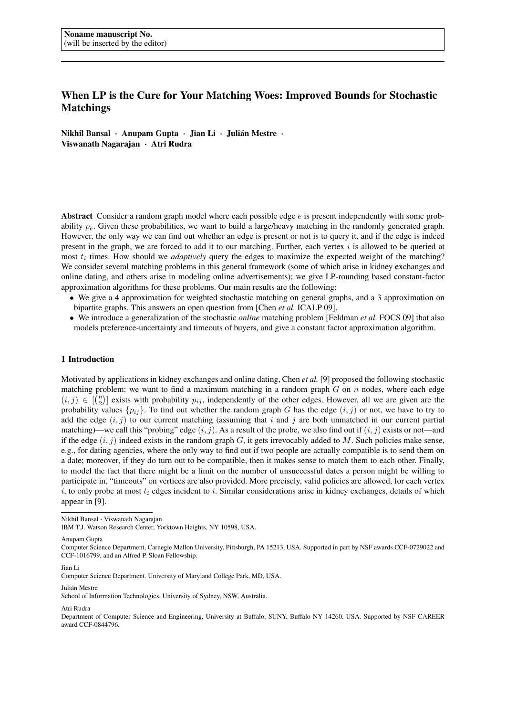# When LP is the Cure for Your Matching Woes: Improved Bounds for Stochastic Matchings

Nikhil Bansal · Anupam Gupta · Jian Li · Julián Mestre · Viswanath Nagarajan · Atri Rudra

Abstract Consider a random graph model where each possible edge  $e$  is present independently with some probability  $p_e$ . Given these probabilities, we want to build a large/heavy matching in the randomly generated graph. However, the only way we can find out whether an edge is present or not is to query it, and if the edge is indeed present in the graph, we are forced to add it to our matching. Further, each vertex i is allowed to be queried at most  $t_i$  times. How should we *adaptively* query the edges to maximize the expected weight of the matching? We consider several matching problems in this general framework (some of which arise in kidney exchanges and online dating, and others arise in modeling online advertisements); we give LP-rounding based constant-factor approximation algorithms for these problems. Our main results are the following:

- We give a 4 approximation for weighted stochastic matching on general graphs, and a 3 approximation on bipartite graphs. This answers an open question from [Chen *et al.* ICALP 09].
- We introduce a generalization of the stochastic *online* matching problem [Feldman *et al.* FOCS 09] that also models preference-uncertainty and timeouts of buyers, and give a constant factor approximation algorithm.

## 1 Introduction

Motivated by applications in kidney exchanges and online dating, Chen *et al.* [9] proposed the following stochastic matching problem: we want to find a maximum matching in a random graph  $G$  on  $n$  nodes, where each edge  $(i, j) \in \binom{n}{2}$  exists with probability  $p_{ij}$ , independently of the other edges. However, all we are given are the probability values  $\{p_{ij}\}$ . To find out whether the random graph G has the edge  $(i, j)$  or not, we have to try to add the edge  $(i, j)$  to our current matching (assuming that i and j are both unmatched in our current partial matching)—we call this "probing" edge  $(i, j)$ . As a result of the probe, we also find out if  $(i, j)$  exists or not—and if the edge  $(i, j)$  indeed exists in the random graph G, it gets irrevocably added to M. Such policies make sense, e.g., for dating agencies, where the only way to find out if two people are actually compatible is to send them on a date; moreover, if they do turn out to be compatible, then it makes sense to match them to each other. Finally, to model the fact that there might be a limit on the number of unsuccessful dates a person might be willing to participate in, "timeouts" on vertices are also provided. More precisely, valid policies are allowed, for each vertex  $i$ , to only probe at most  $t_i$  edges incident to  $i$ . Similar considerations arise in kidney exchanges, details of which appear in [9].

Julián Mestre

#### Atri Rudra

Nikhil Bansal · Viswanath Nagarajan

IBM T.J. Watson Research Center, Yorktown Heights, NY 10598, USA.

Anupam Gupta

Computer Science Department, Carnegie Mellon University, Pittsburgh, PA 15213, USA. Supported in part by NSF awards CCF-0729022 and CCF-1016799, and an Alfred P. Sloan Fellowship.

Jian Li

Computer Science Department. University of Maryland College Park, MD, USA.

School of Information Technologies, University of Sydney, NSW, Australia.

Department of Computer Science and Engineering, University at Buffalo, SUNY, Buffalo NY 14260, USA. Supported by NSF CAREER award CCF-0844796.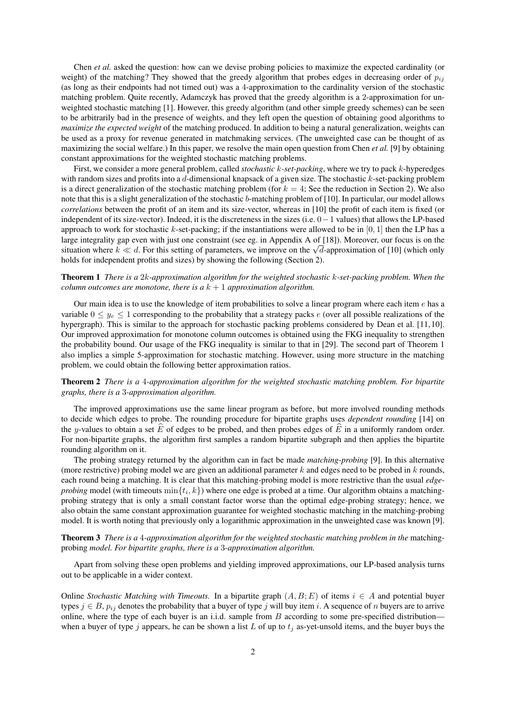Chen *et al.* asked the question: how can we devise probing policies to maximize the expected cardinality (or weight) of the matching? They showed that the greedy algorithm that probes edges in decreasing order of  $p_{ij}$ (as long as their endpoints had not timed out) was a 4-approximation to the cardinality version of the stochastic matching problem. Quite recently, Adamczyk has proved that the greedy algorithm is a 2-approximation for unweighted stochastic matching [1]. However, this greedy algorithm (and other simple greedy schemes) can be seen to be arbitrarily bad in the presence of weights, and they left open the question of obtaining good algorithms to *maximize the expected weight* of the matching produced. In addition to being a natural generalization, weights can be used as a proxy for revenue generated in matchmaking services. (The unweighted case can be thought of as maximizing the social welfare.) In this paper, we resolve the main open question from Chen *et al.* [9] by obtaining constant approximations for the weighted stochastic matching problems.

First, we consider a more general problem, called *stochastic* k*-set-packing*, where we try to pack k-hyperedges with random sizes and profits into a d-dimensional knapsack of a given size. The stochastic  $k$ -set-packing problem is a direct generalization of the stochastic matching problem (for  $k = 4$ ; See the reduction in Section 2). We also note that this is a slight generalization of the stochastic b-matching problem of [10]. In particular, our model allows *correlations* between the profit of an item and its size-vector, whereas in [10] the profit of each item is fixed (or independent of its size-vector). Indeed, it is the discreteness in the sizes (i.e. 0−1 values) that allows the LP-based approach to work for stochastic k-set-packing; if the instantiations were allowed to be in  $[0, 1]$  then the LP has a large integrality gap even with just one constraint (see eg. in Appendix A of [18]). Moreover, our focus is on the arge integrality gap even with just one constraint (see eg. in Appendix A of [18]). Moreover, our focus is on the situation where  $k \ll d$ . For this setting of parameters, we improve on the  $\sqrt{d}$ -approximation of [10] (wh holds for independent profits and sizes) by showing the following (Section 2).

# Theorem 1 *There is a* 2k*-approximation algorithm for the weighted stochastic* k*-set-packing problem. When the column outcomes are monotone, there is a*  $k + 1$  *approximation algorithm.*

Our main idea is to use the knowledge of item probabilities to solve a linear program where each item  $e$  has a variable  $0 \leq y_e \leq 1$  corresponding to the probability that a strategy packs e (over all possible realizations of the hypergraph). This is similar to the approach for stochastic packing problems considered by Dean et al. [11, 10]. Our improved approximation for monotone column outcomes is obtained using the FKG inequality to strengthen the probability bound. Our usage of the FKG inequality is similar to that in [29]. The second part of Theorem 1 also implies a simple 5-approximation for stochastic matching. However, using more structure in the matching problem, we could obtain the following better approximation ratios.

# Theorem 2 *There is a* 4*-approximation algorithm for the weighted stochastic matching problem. For bipartite graphs, there is a* 3*-approximation algorithm.*

The improved approximations use the same linear program as before, but more involved rounding methods to decide which edges to probe. The rounding procedure for bipartite graphs uses *dependent rounding* [14] on the y-values to obtain a set E of edges to be probed, and then probes edges of  $\vec{E}$  in a uniformly random order. For non-bipartite graphs, the algorithm first samples a random bipartite subgraph and then applies the bipartite rounding algorithm on it.

The probing strategy returned by the algorithm can in fact be made *matching-probing* [9]. In this alternative (more restrictive) probing model we are given an additional parameter  $k$  and edges need to be probed in  $k$  rounds, each round being a matching. It is clear that this matching-probing model is more restrictive than the usual *edgeprobing* model (with timeouts  $\min\{t_i, k\}$ ) where one edge is probed at a time. Our algorithm obtains a matchingprobing strategy that is only a small constant factor worse than the optimal edge-probing strategy; hence, we also obtain the same constant approximation guarantee for weighted stochastic matching in the matching-probing model. It is worth noting that previously only a logarithmic approximation in the unweighted case was known [9].

Theorem 3 *There is a* 4*-approximation algorithm for the weighted stochastic matching problem in the* matchingprobing *model. For bipartite graphs, there is a* 3*-approximation algorithm.*

Apart from solving these open problems and yielding improved approximations, our LP-based analysis turns out to be applicable in a wider context.

Online *Stochastic Matching with Timeouts*. In a bipartite graph  $(A, B; E)$  of items  $i \in A$  and potential buyer types  $j \in B$ ,  $p_{ij}$  denotes the probability that a buyer of type j will buy item i. A sequence of n buyers are to arrive online, where the type of each buyer is an i.i.d. sample from B according to some pre-specified distribution when a buyer of type j appears, he can be shown a list L of up to  $t_i$  as-yet-unsold items, and the buyer buys the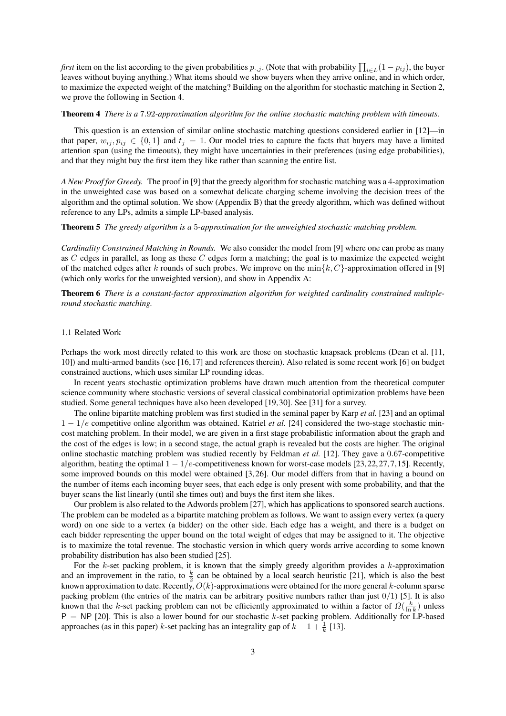*first* item on the list according to the given probabilities  $p_{\cdot,j}$ . (Note that with probability  $\prod_{i\in L}(1-p_{ij})$ , the buyer leaves without buying anything.) What items should we show buyers when they arrive online, and in which order, to maximize the expected weight of the matching? Building on the algorithm for stochastic matching in Section 2, we prove the following in Section 4.

#### Theorem 4 *There is a* 7.92*-approximation algorithm for the online stochastic matching problem with timeouts.*

This question is an extension of similar online stochastic matching questions considered earlier in [12]—in that paper,  $w_{ij}, p_{ij} \in \{0,1\}$  and  $t_j = 1$ . Our model tries to capture the facts that buyers may have a limited attention span (using the timeouts), they might have uncertainties in their preferences (using edge probabilities), and that they might buy the first item they like rather than scanning the entire list.

*A New Proof for Greedy.* The proof in [9] that the greedy algorithm for stochastic matching was a 4-approximation in the unweighted case was based on a somewhat delicate charging scheme involving the decision trees of the algorithm and the optimal solution. We show (Appendix B) that the greedy algorithm, which was defined without reference to any LPs, admits a simple LP-based analysis.

## Theorem 5 *The greedy algorithm is a* 5*-approximation for the unweighted stochastic matching problem.*

*Cardinality Constrained Matching in Rounds.* We also consider the model from [9] where one can probe as many as  $C$  edges in parallel, as long as these  $C$  edges form a matching; the goal is to maximize the expected weight of the matched edges after k rounds of such probes. We improve on the  $\min\{k, C\}$ -approximation offered in [9] (which only works for the unweighted version), and show in Appendix A:

Theorem 6 *There is a constant-factor approximation algorithm for weighted cardinality constrained multipleround stochastic matching.*

## 1.1 Related Work

Perhaps the work most directly related to this work are those on stochastic knapsack problems (Dean et al. [11, 10]) and multi-armed bandits (see [16, 17] and references therein). Also related is some recent work [6] on budget constrained auctions, which uses similar LP rounding ideas.

In recent years stochastic optimization problems have drawn much attention from the theoretical computer science community where stochastic versions of several classical combinatorial optimization problems have been studied. Some general techniques have also been developed [19, 30]. See [31] for a survey.

The online bipartite matching problem was first studied in the seminal paper by Karp *et al.* [23] and an optimal 1 − 1/e competitive online algorithm was obtained. Katriel *et al.* [24] considered the two-stage stochastic mincost matching problem. In their model, we are given in a first stage probabilistic information about the graph and the cost of the edges is low; in a second stage, the actual graph is revealed but the costs are higher. The original online stochastic matching problem was studied recently by Feldman *et al.* [12]. They gave a 0.67-competitive algorithm, beating the optimal  $1 - 1/e$ -competitiveness known for worst-case models [23, 22, 27, 7, 15]. Recently, some improved bounds on this model were obtained [3, 26]. Our model differs from that in having a bound on the number of items each incoming buyer sees, that each edge is only present with some probability, and that the buyer scans the list linearly (until she times out) and buys the first item she likes.

Our problem is also related to the Adwords problem [27], which has applications to sponsored search auctions. The problem can be modeled as a bipartite matching problem as follows. We want to assign every vertex (a query word) on one side to a vertex (a bidder) on the other side. Each edge has a weight, and there is a budget on each bidder representing the upper bound on the total weight of edges that may be assigned to it. The objective is to maximize the total revenue. The stochastic version in which query words arrive according to some known probability distribution has also been studied [25].

For the  $k$ -set packing problem, it is known that the simply greedy algorithm provides a  $k$ -approximation and an improvement in the ratio, to  $\frac{k}{2}$  can be obtained by a local search heuristic [21], which is also the best known approximation to date. Recently,  $O(k)$ -approximations were obtained for the more general k-column sparse packing problem (the entries of the matrix can be arbitrary positive numbers rather than just  $0/1$ ) [5]. It is also known that the k-set packing problem can not be efficiently approximated to within a factor of  $\Omega(\frac{k}{\ln k})$  unless  $P = NP$  [20]. This is also a lower bound for our stochastic k-set packing problem. Additionally for LP-based approaches (as in this paper) k-set packing has an integrality gap of  $k - 1 + \frac{1}{k}$  [13].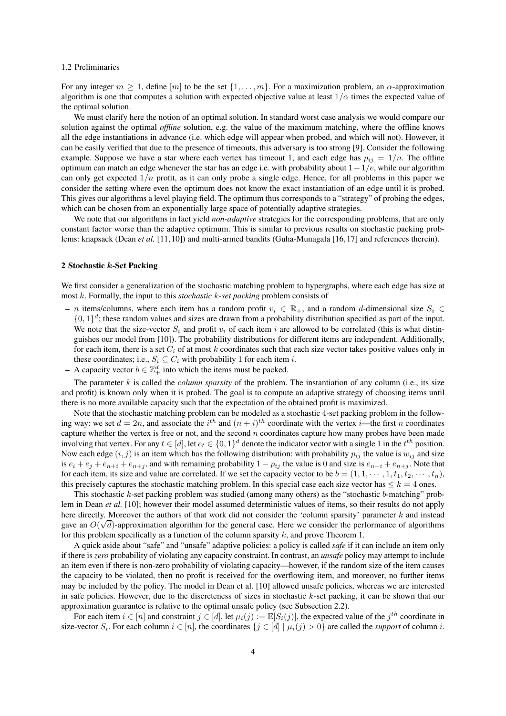#### 1.2 Preliminaries

For any integer  $m \geq 1$ , define  $[m]$  to be the set  $\{1, \ldots, m\}$ . For a maximization problem, an  $\alpha$ -approximation algorithm is one that computes a solution with expected objective value at least  $1/\alpha$  times the expected value of the optimal solution.

We must clarify here the notion of an optimal solution. In standard worst case analysis we would compare our solution against the optimal *offline* solution, e.g. the value of the maximum matching, where the offline knows all the edge instantiations in advance (i.e. which edge will appear when probed, and which will not). However, it can be easily verified that due to the presence of timeouts, this adversary is too strong [9]. Consider the following example. Suppose we have a star where each vertex has timeout 1, and each edge has  $p_{ij} = 1/n$ . The offline optimum can match an edge whenever the star has an edge i.e. with probability about  $1-1/e$ , while our algorithm can only get expected  $1/n$  profit, as it can only probe a single edge. Hence, for all problems in this paper we consider the setting where even the optimum does not know the exact instantiation of an edge until it is probed. This gives our algorithms a level playing field. The optimum thus corresponds to a "strategy" of probing the edges, which can be chosen from an exponentially large space of potentially adaptive strategies.

We note that our algorithms in fact yield *non-adaptive* strategies for the corresponding problems, that are only constant factor worse than the adaptive optimum. This is similar to previous results on stochastic packing problems: knapsack (Dean *et al.* [11, 10]) and multi-armed bandits (Guha-Munagala [16, 17] and references therein).

## 2 Stochastic k-Set Packing

We first consider a generalization of the stochastic matching problem to hypergraphs, where each edge has size at most k. Formally, the input to this *stochastic* k*-set packing* problem consists of

- n items/columns, where each item has a random profit  $v_i \in \mathbb{R}_+$ , and a random d-dimensional size  $S_i \in$  $\{0,1\}^d$ ; these random values and sizes are drawn from a probability distribution specified as part of the input. We note that the size-vector  $S_i$  and profit  $v_i$  of each item i are allowed to be correlated (this is what distinguishes our model from [10]). The probability distributions for different items are independent. Additionally, for each item, there is a set  $C_i$  of at most k coordinates such that each size vector takes positive values only in these coordinates; i.e.,  $S_i \subseteq C_i$  with probability 1 for each item *i*.
- A capacity vector  $b \in \mathbb{Z}_+^d$  into which the items must be packed.

The parameter  $k$  is called the *column sparsity* of the problem. The instantiation of any column (i.e., its size and profit) is known only when it is probed. The goal is to compute an adaptive strategy of choosing items until there is no more available capacity such that the expectation of the obtained profit is maximized.

Note that the stochastic matching problem can be modeled as a stochastic 4-set packing problem in the following way: we set  $d = 2n$ , and associate the  $i<sup>th</sup>$  and  $(n + i)<sup>th</sup>$  coordinate with the vertex *i*—the first *n* coordinates capture whether the vertex is free or not, and the second  $n$  coordinates capture how many probes have been made involving that vertex. For any  $t \in [d]$ , let  $e_t \in \{0,1\}^d$  denote the indicator vector with a single 1 in the  $t^{th}$  position. Now each edge  $(i, j)$  is an item which has the following distribution: with probability  $p_{ij}$  the value is  $w_{ij}$  and size is  $e_i + e_j + e_{n+i} + e_{n+j}$ , and with remaining probability  $1 - p_{ij}$  the value is 0 and size is  $e_{n+i} + e_{n+j}$ . Note that for each item, its size and value are correlated. If we set the capacity vector to be  $b = (1, 1, \dots, 1, t_1, t_2, \dots, t_n)$ , this precisely captures the stochastic matching problem. In this special case each size vector has  $\leq k = 4$  ones.

This stochastic  $k$ -set packing problem was studied (among many others) as the "stochastic  $b$ -matching" problem in Dean *et al.* [10]; however their model assumed deterministic values of items, so their results do not apply here directly. Moreover the authors of that work did not consider the 'column sparsity' parameter k and instead gave an  $O(\sqrt{d})$ -approximation algorithm for the general case. Here we consider the performance of algorithms for this problem specifically as a function of the column sparsity  $k$ , and prove Theorem 1.

A quick aside about "safe" and "unsafe" adaptive policies: a policy is called *safe* if it can include an item only if there is *zero* probability of violating any capacity constraint. In contrast, an *unsafe* policy may attempt to include an item even if there is non-zero probability of violating capacity—however, if the random size of the item causes the capacity to be violated, then no profit is received for the overflowing item, and moreover, no further items may be included by the policy. The model in Dean et al. [10] allowed unsafe policies, whereas we are interested in safe policies. However, due to the discreteness of sizes in stochastic  $k$ -set packing, it can be shown that our approximation guarantee is relative to the optimal unsafe policy (see Subsection 2.2).

For each item  $i \in [n]$  and constraint  $j \in [d]$ , let  $\mu_i(j) := \mathbb{E}[S_i(j)]$ , the expected value of the  $j^{th}$  coordinate in size-vector  $S_i$ . For each column  $i \in [n]$ , the coordinates  $\{j \in [d] \mid \mu_i(j) > 0\}$  are called the *support* of column i.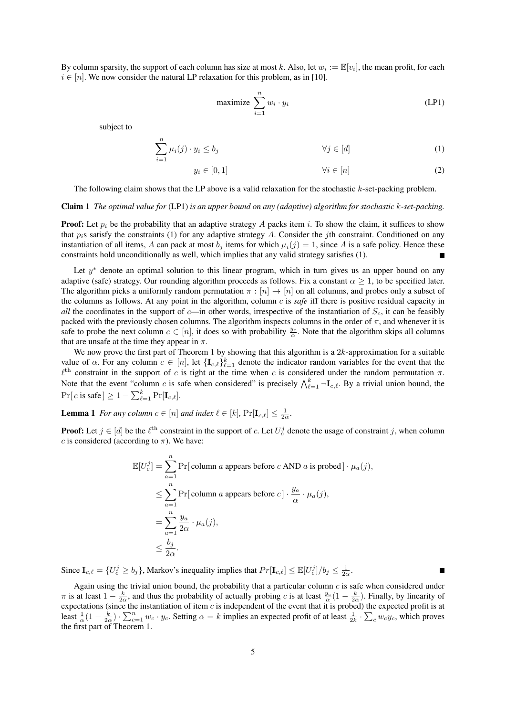By column sparsity, the support of each column has size at most k. Also, let  $w_i := \mathbb{E}[v_i]$ , the mean profit, for each  $i \in [n]$ . We now consider the natural LP relaxation for this problem, as in [10].

$$
\text{maximize } \sum_{i=1}^{n} w_i \cdot y_i \tag{LP1}
$$

subject to

$$
\sum_{i=1}^{n} \mu_i(j) \cdot y_i \le b_j \qquad \qquad \forall j \in [d]
$$
 (1)

$$
y_i \in [0, 1] \qquad \qquad \forall i \in [n] \tag{2}
$$

The following claim shows that the LP above is a valid relaxation for the stochastic  $k$ -set-packing problem.

## Claim 1 *The optimal value for* (LP1) *is an upper bound on any (adaptive) algorithm for stochastic* k*-set-packing.*

**Proof:** Let  $p_i$  be the probability that an adaptive strategy A packs item i. To show the claim, it suffices to show that  $p_i$ s satisfy the constraints (1) for any adaptive strategy A. Consider the jth constraint. Conditioned on any instantiation of all items, A can pack at most  $b_j$  items for which  $\mu_i(j) = 1$ , since A is a safe policy. Hence these constraints hold unconditionally as well, which implies that any valid strategy satisfies (1).

Let  $y^*$  denote an optimal solution to this linear program, which in turn gives us an upper bound on any adaptive (safe) strategy. Our rounding algorithm proceeds as follows. Fix a constant  $\alpha \geq 1$ , to be specified later. The algorithm picks a uniformly random permutation  $\pi : [n] \to [n]$  on all columns, and probes only a subset of the columns as follows. At any point in the algorithm, column c is *safe* iff there is positive residual capacity in *all* the coordinates in the support of  $c$ —in other words, irrespective of the instantiation of  $S_c$ , it can be feasibly packed with the previously chosen columns. The algorithm inspects columns in the order of  $\pi$ , and whenever it is safe to probe the next column  $c \in [n]$ , it does so with probability  $\frac{y_c}{\alpha}$ . Note that the algorithm skips all columns that are unsafe at the time they appear in  $\pi$ .

We now prove the first part of Theorem 1 by showing that this algorithm is a  $2k$ -approximation for a suitable value of  $\alpha$ . For any column  $c \in [n]$ , let  $\{\mathbf{I}_{c,\ell}\}_{\ell=1}^k$  denote the indicator random variables for the event that the  $\ell^{\text{th}}$  constraint in the support of c is tight at the time when c is considered under the random permutation  $\pi$ . Note that the event "column c is safe when considered" is precisely  $\bigwedge_{\ell=1}^k \neg \mathbf{I}_{c,\ell}$ . By a trivial union bound, the  $Pr[c \text{ is safe}] \ge 1 - \sum_{\ell=1}^{k} Pr[\mathbf{I}_{c,\ell}].$ 

**Lemma 1** *For any column*  $c \in [n]$  *and index*  $\ell \in [k]$ ,  $Pr[\mathbf{I}_{c,\ell}] \leq \frac{1}{2\alpha}$ .

**Proof:** Let  $j \in [d]$  be the  $\ell^{\text{th}}$  constraint in the support of c. Let  $U_c^j$  denote the usage of constraint j, when column c is considered (according to  $\pi$ ). We have:

$$
\mathbb{E}[U_c^j] = \sum_{a=1}^n \Pr[\text{column } a \text{ appears before } c \text{ AND } a \text{ is probed}] \cdot \mu_a(j),
$$
\n
$$
\leq \sum_{a=1}^n \Pr[\text{column } a \text{ appears before } c] \cdot \frac{y_a}{\alpha} \cdot \mu_a(j),
$$
\n
$$
= \sum_{a=1}^n \frac{y_a}{2\alpha} \cdot \mu_a(j),
$$
\n
$$
\leq \frac{b_j}{2\alpha}.
$$

Since  $\mathbf{I}_{c,\ell} = \{U_c^j \ge b_j\}$ , Markov's inequality implies that  $Pr[\mathbf{I}_{c,\ell}] \le \mathbb{E}[U_c^j]/b_j \le \frac{1}{2\alpha}$ .

Again using the trivial union bound, the probability that a particular column  $c$  is safe when considered under  $\pi$  is at least  $1 - \frac{k}{2\alpha}$ , and thus the probability of actually probing c is at least  $\frac{y_c}{\alpha}(1 - \frac{k}{2\alpha})$ . Finally, by linearity of expectations (since the instantiation of item  $c$  is independent of the event that it is probed) the expected profit is at least  $\frac{1}{\alpha}(1-\frac{k}{2\alpha})\cdot\sum_{c=1}^n w_c \cdot y_c$ . Setting  $\alpha=k$  implies an expected profit of at least  $\frac{1}{2k}\cdot\sum_c w_c y_c$ , which proves the first part of Theorem 1.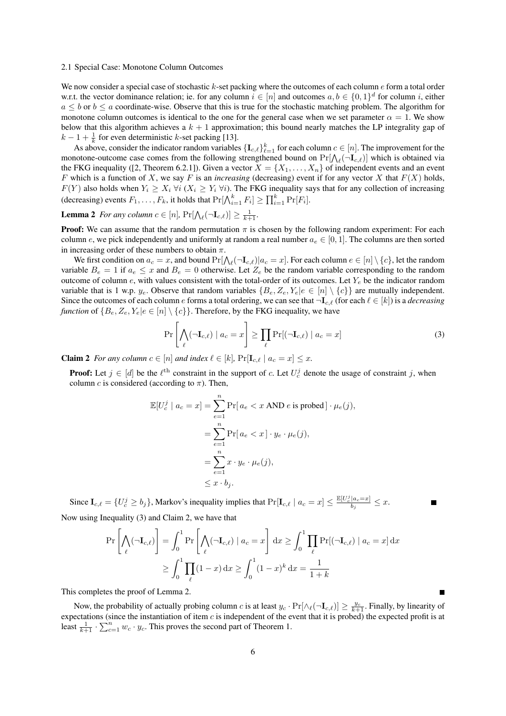#### 2.1 Special Case: Monotone Column Outcomes

We now consider a special case of stochastic  $k$ -set packing where the outcomes of each column  $e$  form a total order w.r.t. the vector dominance relation; ie. for any column  $i \in [n]$  and outcomes  $a, b \in \{0, 1\}^d$  for column i, either  $a \leq b$  or  $b \leq a$  coordinate-wise. Observe that this is true for the stochastic matching problem. The algorithm for monotone column outcomes is identical to the one for the general case when we set parameter  $\alpha = 1$ . We show below that this algorithm achieves a  $k + 1$  approximation; this bound nearly matches the LP integrality gap of  $k-1+\frac{1}{k}$  for even deterministic k-set packing [13].

As above, consider the indicator random variables  $\{I_{c,\ell}\}_{\ell=1}^k$  for each column  $c \in [n]$ . The improvement for the monotone-outcome case comes from the following strengthened bound on  $Pr[\bigwedge_{\ell}(\neg\mathbf{I}_{c,\ell})]$  which is obtained via the FKG inequality ([2, Theorem 6.2.1]). Given a vector  $X = \{X_1, \ldots, X_n\}$  of independent events and an event F which is a function of X, we say F is an *increasing* (decreasing) event if for any vector X that  $F(X)$  holds,  $F(Y)$  also holds when  $Y_i \geq X_i$   $\forall i$  ( $X_i \geq Y_i$   $\forall i$ ). The FKG inequality says that for any collection of increasing (decreasing) events  $F_1, \ldots, F_k$ , it holds that  $\Pr[\bigwedge_{i=1}^k F_i] \ge \prod_{i=1}^k \Pr[F_i]$ .

# **Lemma 2** For any column  $c \in [n]$ ,  $Pr[\bigwedge_{\ell}(\neg \mathbf{I}_{c,\ell})] \geq \frac{1}{k+1}$ .

**Proof:** We can assume that the random permutation  $\pi$  is chosen by the following random experiment: For each column e, we pick independently and uniformly at random a real number  $a_e \in [0, 1]$ . The columns are then sorted in increasing order of these numbers to obtain  $\pi$ .

We first condition on  $a_c = x$ , and bound  $Pr[\bigwedge_{\ell}(\neg \mathbf{I}_{c,\ell})|a_c = x]$ . For each column  $e \in [n] \setminus \{c\}$ , let the random variable  $B_e = 1$  if  $a_e \le x$  and  $B_e = 0$  otherwise. Let  $Z_e$  be the random variable corresponding to the random outcome of column  $e$ , with values consistent with the total-order of its outcomes. Let  $Y_e$  be the indicator random variable that is 1 w.p.  $y_e$ . Observe that random variables  $\{B_e, Z_e, Y_e | e \in [n] \setminus \{c\}\}\$ are mutually independent. Since the outcomes of each column e forms a total ordering, we can see that  $\neg L_{c,\ell}$  (for each  $\ell \in [k]$ ) is a *decreasing function* of  ${B_e, Z_e, Y_e | e \in [n] \setminus {c}}$ . Therefore, by the FKG inequality, we have

$$
\Pr\left[\bigwedge_{\ell}(\neg \mathbf{I}_{c,\ell}) \mid a_{c} = x\right] \ge \prod_{\ell} \Pr[(\neg \mathbf{I}_{c,\ell}) \mid a_{c} = x]
$$
\n(3)

**Claim 2** *For any column*  $c \in [n]$  *and index*  $\ell \in [k]$ ,  $Pr[\mathbf{I}_{c,\ell} | a_c = x] \leq x$ .

**Proof:** Let  $j \in [d]$  be the  $\ell^{\text{th}}$  constraint in the support of c. Let  $U_c^j$  denote the usage of constraint j, when column c is considered (according to  $\pi$ ). Then,

$$
\mathbb{E}[U_c^j \mid a_c = x] = \sum_{e=1}^n \Pr[a_e < x \text{ AND } e \text{ is probed}] \cdot \mu_e(j),
$$
\n
$$
= \sum_{e=1}^n \Pr[a_e < x] \cdot y_e \cdot \mu_e(j),
$$
\n
$$
= \sum_{e=1}^n x \cdot y_e \cdot \mu_e(j),
$$
\n
$$
\leq x \cdot b_j.
$$

Since  $I_{c,\ell} = \{U_c^j \ge b_j\}$ , Markov's inequality implies that  $Pr[I_{c,\ell} | a_c = x] \le \frac{\mathbb{E}[U_c^j | a_c = x]}{b_j}$  $\frac{|a_c=x|}{b_j} \leq x.$ Now using Inequality (3) and Claim 2, we have that

$$
\Pr\left[\bigwedge_{\ell}(\neg \mathbf{I}_{c,\ell})\right] = \int_0^1 \Pr\left[\bigwedge_{\ell}(\neg \mathbf{I}_{c,\ell}) \mid a_c = x\right] dx \ge \int_0^1 \prod_{\ell} \Pr[(\neg \mathbf{I}_{c,\ell}) \mid a_c = x] dx
$$

$$
\ge \int_0^1 \prod_{\ell} (1-x) dx \ge \int_0^1 (1-x)^k dx = \frac{1}{1+k}
$$

This completes the proof of Lemma 2.

Now, the probability of actually probing column c is at least  $y_c \cdot \Pr[\wedge_k(-\mathbf{I}_{c,\ell})] \ge \frac{y_c}{k+1}$ . Finally, by linearity of expectations (since the instantiation of item  $c$  is independent of the event that it is probed) the expected profit is at least  $\frac{1}{k+1} \cdot \sum_{c=1}^{n} w_c \cdot y_c$ . This proves the second part of Theorem 1.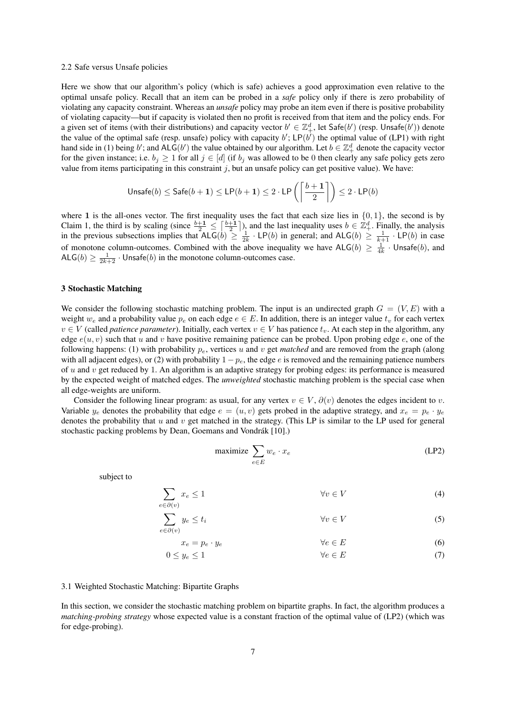#### 2.2 Safe versus Unsafe policies

Here we show that our algorithm's policy (which is safe) achieves a good approximation even relative to the optimal unsafe policy. Recall that an item can be probed in a *safe* policy only if there is zero probability of violating any capacity constraint. Whereas an *unsafe* policy may probe an item even if there is positive probability of violating capacity—but if capacity is violated then no profit is received from that item and the policy ends. For a given set of items (with their distributions) and capacity vector  $b' \in \mathbb{Z}_+^d$ , let Safe(b') (resp. Unsafe(b')) denote the value of the optimal safe (resp. unsafe) policy with capacity b';  $LP(b<sup>i</sup>)$  the optimal value of (LP1) with right hand side in (1) being b'; and ALG(b') the value obtained by our algorithm. Let  $b \in \mathbb{Z}_+^d$  denote the capacity vector for the given instance; i.e.  $b_j \ge 1$  for all  $j \in [d]$  (if  $b_j$  was allowed to be 0 then clearly any safe policy gets zero value from items participating in this constraint  $j$ , but an unsafe policy can get positive value). We have:

$$
\mathsf{Unsafe}(b) \leq \mathsf{Safe}(b+1) \leq \mathsf{LP}(b+1) \leq 2 \cdot \mathsf{LP}\left(\left\lceil\frac{b+1}{2}\right\rceil\right) \leq 2 \cdot \mathsf{LP}(b)
$$

where 1 is the all-ones vector. The first inequality uses the fact that each size lies in  $\{0, 1\}$ , the second is by Claim 1, the third is by scaling (since  $\frac{b+1}{2} \leq \left[\frac{b+1}{2}\right]$ ), and the last inequality uses  $b \in \mathbb{Z}_+^d$ . Finally, the analysis in the previous subsections implies that  $ALG(b) \geq \frac{1}{2k} \cdot LP(b)$  in general; and  $ALG(b) \geq \frac{1}{k+1} \cdot LP(b)$  in case of monotone column-outcomes. Combined with the above inequality we have  $\mathsf{ALG}(b) \geq \frac{1}{4k} \cdot \mathsf{Unsafe}(b)$ , and  $\mathsf{ALG}(b) \ge \frac{1}{2k+2} \cdot \mathsf{Unsafe}(b)$  in the monotone column-outcomes case.

## 3 Stochastic Matching

We consider the following stochastic matching problem. The input is an undirected graph  $G = (V, E)$  with a weight  $w_e$  and a probability value  $p_e$  on each edge  $e \in E$ . In addition, there is an integer value  $t_v$  for each vertex  $v \in V$  (called *patience parameter*). Initially, each vertex  $v \in V$  has patience  $t_v$ . At each step in the algorithm, any edge  $e(u, v)$  such that u and v have positive remaining patience can be probed. Upon probing edge e, one of the following happens: (1) with probability  $p_e$ , vertices u and v get *matched* and are removed from the graph (along with all adjacent edges), or (2) with probability  $1 - p_e$ , the edge e is removed and the remaining patience numbers of u and v get reduced by 1. An algorithm is an adaptive strategy for probing edges: its performance is measured by the expected weight of matched edges. The *unweighted* stochastic matching problem is the special case when all edge-weights are uniform.

Consider the following linear program: as usual, for any vertex  $v \in V$ ,  $\partial(v)$  denotes the edges incident to v. Variable  $y_e$  denotes the probability that edge  $e = (u, v)$  gets probed in the adaptive strategy, and  $x_e = p_e \cdot y_e$ denotes the probability that  $u$  and  $v$  get matched in the strategy. (This LP is similar to the LP used for general stochastic packing problems by Dean, Goemans and Vondrák [10].)

$$
\text{maximize } \sum_{e \in E} w_e \cdot x_e \tag{LP2}
$$

subject to

$$
\sum_{e \in \partial(v)} x_e \le 1 \qquad \qquad \forall v \in V \tag{4}
$$

$$
\sum_{e \in \partial(v)} y_e \le t_i \qquad \forall v \in V \tag{5}
$$

$$
x_e = p_e \cdot y_e \qquad \qquad \forall e \in E \tag{6}
$$

$$
0 \le y_e \le 1 \qquad \qquad \forall e \in E \tag{7}
$$

## 3.1 Weighted Stochastic Matching: Bipartite Graphs

In this section, we consider the stochastic matching problem on bipartite graphs. In fact, the algorithm produces a *matching-probing strategy* whose expected value is a constant fraction of the optimal value of (LP2) (which was for edge-probing).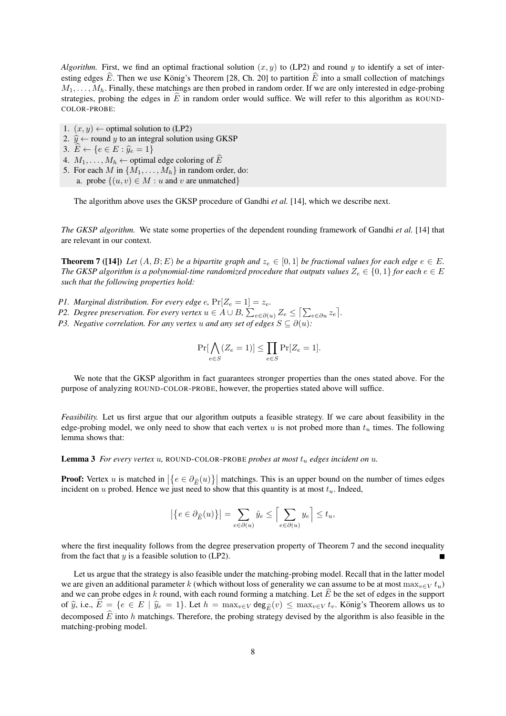*Algorithm.* First, we find an optimal fractional solution  $(x, y)$  to (LP2) and round y to identify a set of interesting edges  $\widehat{E}$ . Then we use König's Theorem [28, Ch. 20] to partition  $\widehat{E}$  into a small collection of matchings  $M_1, \ldots, M_h$ . Finally, these matchings are then probed in random order. If we are only interested in edge-probing strategies, probing the edges in  $\hat{E}$  in random order would suffice. We will refer to this algorithm as ROUND-COLOR-PROBE:

- 1.  $(x, y) \leftarrow$  optimal solution to (LP2)
- 2.  $\hat{y} \leftarrow$  round y to an integral solution using GKSP

3.  $\widehat{E} \leftarrow \{e \in E : \widehat{y}_e = 1\}$ 

- 4.  $M_1, \ldots, M_h \leftarrow$  optimal edge coloring of  $\widehat{E}$
- 5. For each M in  $\{M_1, \ldots, M_h\}$  in random order, do: a. probe  $\{(u, v) \in M : u \text{ and } v \text{ are unmatched}\}\$

The algorithm above uses the GKSP procedure of Gandhi *et al.* [14], which we describe next.

*The GKSP algorithm.* We state some properties of the dependent rounding framework of Gandhi *et al.* [14] that are relevant in our context.

**Theorem 7** ([14]) Let  $(A, B; E)$  be a bipartite graph and  $z_e \in [0, 1]$  be fractional values for each edge  $e \in E$ . *The GKSP algorithm is a polynomial-time randomized procedure that outputs values*  $Z_e \in \{0,1\}$  *for each*  $e \in E$ *such that the following properties hold:*

- *P1. Marginal distribution. For every edge e,*  $Pr[Z_e = 1] = z_e$ .
- *P2.* Degree preservation. For every vertex  $u \in A \cup B$ ,  $\sum_{e \in \partial(u)} Z_e \leq [\sum_{e \in \partial u} z_e]$ .
- *P3. Negative correlation. For any vertex* u *and any set of edges*  $S \subseteq \partial(u)$ *:*

$$
\Pr[\bigwedge_{e \in S} (Z_e = 1)] \le \prod_{e \in S} \Pr[Z_e = 1].
$$

We note that the GKSP algorithm in fact guarantees stronger properties than the ones stated above. For the purpose of analyzing ROUND-COLOR-PROBE, however, the properties stated above will suffice.

*Feasibility.* Let us first argue that our algorithm outputs a feasible strategy. If we care about feasibility in the edge-probing model, we only need to show that each vertex  $u$  is not probed more than  $t<sub>u</sub>$  times. The following lemma shows that:

Lemma 3 *For every vertex* u*,* ROUND-COLOR-PROBE *probes at most* t<sup>u</sup> *edges incident on* u*.*

**Proof:** Vertex u is matched in  $\left\{e \in \partial_{\widehat{E}}(u)\right\}$  matchings. This is an upper bound on the number of times edges incident on u probed. Hence we just need to show that this quantity is at most  $t<sub>u</sub>$ . Indeed,

$$
\left|\left\{e\in\partial_{\widehat{E}}(u)\right\}\right|=\sum_{e\in\partial(u)}\hat{y}_e\leq \Bigl\lceil\sum_{e\in\partial(u)}y_e\Bigr\rceil\leq t_u,
$$

where the first inequality follows from the degree preservation property of Theorem 7 and the second inequality from the fact that  $y$  is a feasible solution to (LP2).

Let us argue that the strategy is also feasible under the matching-probing model. Recall that in the latter model we are given an additional parameter k (which without loss of generality we can assume to be at most  $\max_{v \in V} t_u$ ) and we can probe edges in k round, with each round forming a matching. Let  $\hat{E}$  be the set of edges in the support of  $\hat{y}$ , i.e.,  $\hat{E} = \{e \in E \mid \hat{y}_e = 1\}$ . Let  $h = \max_{v \in V} \deg_{\hat{E}}(v) \leq \max_{v \in V} t_v$ . König's Theorem allows us to decomposed  $\widehat{E}$  into h matchings. Therefore, the probing strategy devised by the algorithm is also feasible in the matching-probing model.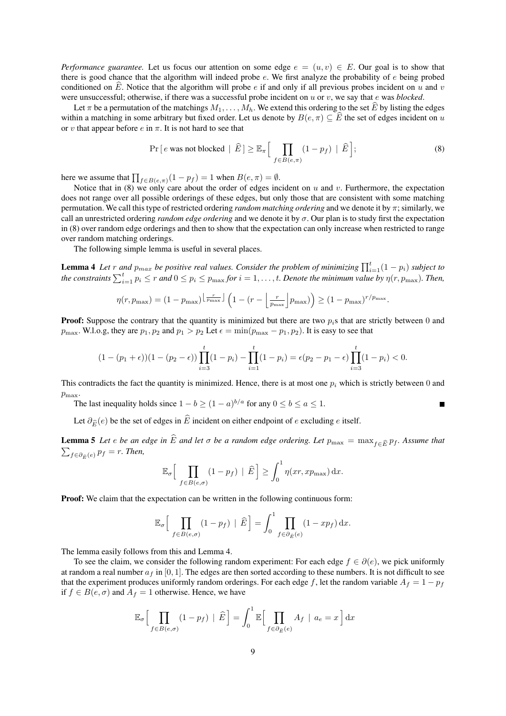*Performance guarantee.* Let us focus our attention on some edge  $e = (u, v) \in E$ . Our goal is to show that there is good chance that the algorithm will indeed probe  $e$ . We first analyze the probability of  $e$  being probed conditioned on  $\tilde{E}$ . Notice that the algorithm will probe e if and only if all previous probes incident on u and v were unsuccessful; otherwise, if there was a successful probe incident on u or v, we say that e was *blocked*.

Let  $\pi$  be a permutation of the matchings  $M_1, \ldots, M_h$ . We extend this ordering to the set  $\widehat{E}$  by listing the edges within a matching in some arbitrary but fixed order. Let us denote by  $B(e, \pi) \subseteq \widehat{E}$  the set of edges incident on u or v that appear before  $e$  in  $\pi$ . It is not hard to see that

$$
\Pr\left[e \text{ was not blocked} \mid \widehat{E}\right] \geq \mathbb{E}_{\pi}\left[\prod_{f \in B(e,\pi)} (1 - p_f) \mid \widehat{E}\right];\tag{8}
$$

.

i

here we assume that  $\prod_{f \in B(e,\pi)} (1 - p_f) = 1$  when  $B(e, \pi) = \emptyset$ .

Notice that in (8) we only care about the order of edges incident on u and v. Furthermore, the expectation does not range over all possible orderings of these edges, but only those that are consistent with some matching permutation. We call this type of restricted ordering *random matching ordering* and we denote it by π; similarly, we call an unrestricted ordering *random edge ordering* and we denote it by σ. Our plan is to study first the expectation in (8) over random edge orderings and then to show that the expectation can only increase when restricted to range over random matching orderings.

The following simple lemma is useful in several places.

**Lemma 4** Let r and  $p_{max}$  be positive real values. Consider the problem of minimizing  $\prod_{i=1}^{t}(1-p_i)$  subject to *the constraints*  $\sum_{i=1}^{t} p_i \leq r$  and  $0 \leq p_i \leq p_{\max}$  for  $i = 1, \ldots, t$ . Denote the minimum value by  $\eta(r, p_{\max})$ . Then,

$$
\eta(r, p_{\max}) = (1 - p_{\max})^{\left\lfloor \frac{r}{p_{\max}} \right\rfloor} \left(1 - (r - \left\lfloor \frac{r}{p_{\max}} \right\rfloor p_{\max})\right) \ge (1 - p_{\max})^{r/p_{\max}}
$$

**Proof:** Suppose the contrary that the quantity is minimized but there are two  $p_i$ s that are strictly between 0 and  $p_{\text{max}}$ . W.l.o.g, they are  $p_1, p_2$  and  $p_1 > p_2$  Let  $\epsilon = \min(p_{\text{max}} - p_1, p_2)$ . It is easy to see that

$$
(1-(p_1+\epsilon))(1-(p_2-\epsilon))\prod_{i=3}^t(1-p_i)-\prod_{i=1}^t(1-p_i)=\epsilon(p_2-p_1-\epsilon)\prod_{i=3}^t(1-p_i)<0.
$$

This contradicts the fact the quantity is minimized. Hence, there is at most one  $p_i$  which is strictly between 0 and  $p_{\text{max}}$ .

The last inequality holds since  $1 - b \ge (1 - a)^{b/a}$  for any  $0 \le b \le a \le 1$ .

Let  $\partial_{\widehat{E}}(e)$  be the set of edges in  $\widehat{E}$  incident on either endpoint of e excluding e itself.

**Lemma 5** Let *e be an edge in*  $\widehat{E}$  *and let*  $\sigma$  *be a random edge ordering. Let*  $p_{\max} = \max_{f \in \widehat{E}} p_f$ *. Assume that*  $\sum_{f \in \partial_{\widehat{E}}(e)} p_f = r$ *. Then,* 

$$
\mathbb{E}_{\sigma}\Big[\prod_{f\in B(e,\sigma)}(1-p_f) \mid \widehat{E}\Big] \ge \int_0^1 \eta(xr, x p_{\max}) dx.
$$

Proof: We claim that the expectation can be written in the following continuous form:

$$
\mathbb{E}_{\sigma}\Big[\prod_{f\in B(e,\sigma)}(1-p_f) \mid \widehat{E}\Big] = \int_0^1 \prod_{f\in \partial_{\widehat{E}}(e)}(1-xp_f) dx.
$$

The lemma easily follows from this and Lemma 4.

To see the claim, we consider the following random experiment: For each edge  $f \in \partial(e)$ , we pick uniformly at random a real number  $a_f$  in [0, 1]. The edges are then sorted according to these numbers. It is not difficult to see that the experiment produces uniformly random orderings. For each edge f, let the random variable  $A_f = 1 - p_f$ if  $f \in B(e, \sigma)$  and  $A_f = 1$  otherwise. Hence, we have

$$
\mathbb{E}_{\sigma}\Big[\prod_{f\in B(e,\sigma)}(1-p_f) \mid \widehat{E}\Big] = \int_0^1 \mathbb{E}\Big[\prod_{f\in \partial_{\widehat{E}}(e)} A_f \mid a_e = x\Big] dx
$$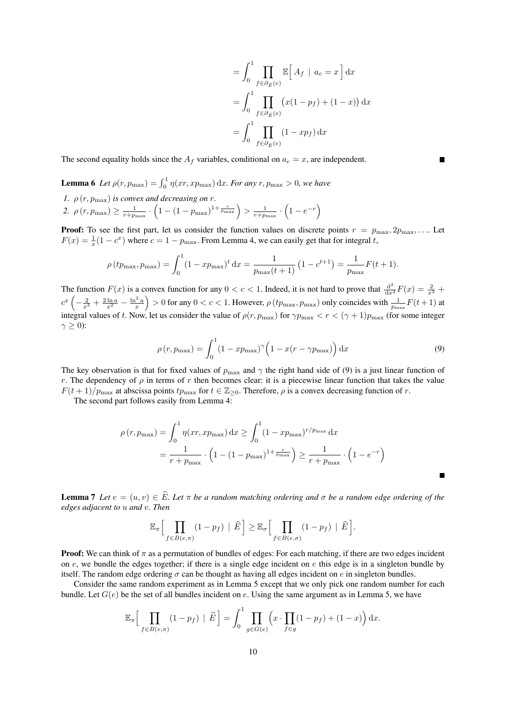$$
= \int_0^1 \prod_{f \in \partial_{\hat{E}}(e)} \mathbb{E}\left[A_f \mid a_e = x\right] dx
$$

$$
= \int_0^1 \prod_{f \in \partial_{\hat{E}}(e)} \left(x(1 - p_f) + (1 - x)\right) dx
$$

$$
= \int_0^1 \prod_{f \in \partial_{\hat{E}}(e)} (1 - xp_f) dx
$$

The second equality holds since the  $A_f$  variables, conditional on  $a_e = x$ , are independent.

**Lemma 6** Let  $\rho(r, p_{\text{max}}) = \int_0^1 \eta(xr, xp_{\text{max}}) dx$ . For any  $r, p_{\text{max}} > 0$ , we have

*1.*  $\rho(r, p_{\text{max}})$  *is convex and decreasing on r.* 2.  $\rho(r, p_{\max}) \ge \frac{1}{r+p_{\max}} \cdot \left(1 - (1-p_{\max})^{1+\frac{r}{p_{\max}}}\right) > \frac{1}{r+p_{\max}} \cdot \left(1 - e^{-r}\right)$ 

**Proof:** To see the first part, let us consider the function values on discrete points  $r = p_{\text{max}}, 2p_{\text{max}}, \dots$  Let  $F(x) = \frac{1}{x}(1 - c^x)$  where  $c = 1 - p_{\text{max}}$ . From Lemma 4, we can easily get that for integral t,

$$
\rho(t p_{\max}, p_{\max}) = \int_0^1 (1 - x p_{\max})^t dx = \frac{1}{p_{\max}(t+1)} (1 - c^{t+1}) = \frac{1}{p_{\max}} F(t+1).
$$

The function  $F(x)$  is a convex function for any  $0 < c < 1$ . Indeed, it is not hard to prove that  $\frac{d^2}{dx^2}F(x) = \frac{2}{x^3} +$  $c^x\left(-\frac{2}{x^3}+\frac{2\ln a}{x^2}-\frac{\ln^2 a}{x}\right) > 0$  for any  $0 < c < 1$ . However,  $\rho(tp_{\max}, p_{\max})$  only coincides with  $\frac{1}{p_{\max}}F(t+1)$  at integral values of t. Now, let us consider the value of  $\rho(r, p_{\max})$  for  $\gamma p_{\max} < r < (\gamma + 1)p_{\max}$  (for some integer  $\gamma \geq 0$ ):

$$
\rho(r, p_{\max}) = \int_0^1 (1 - x p_{\max})^{\gamma} \left(1 - x(r - \gamma p_{\max})\right) dx
$$
\n(9)

The key observation is that for fixed values of  $p_{\text{max}}$  and  $\gamma$  the right hand side of (9) is a just linear function of r. The dependency of  $\rho$  in terms of r then becomes clear: it is a piecewise linear function that takes the value  $F(t+1)/p_{\text{max}}$  at abscissa points  $tp_{\text{max}}$  for  $t \in \mathbb{Z}_{\geq 0}$ . Therefore,  $\rho$  is a convex decreasing function of r.

The second part follows easily from Lemma 4:

$$
\rho(r, p_{\max}) = \int_0^1 \eta(xr, xp_{\max}) dx \ge \int_0^1 (1 - xp_{\max})^{r/p_{\max}} dx
$$
  
=  $\frac{1}{r + p_{\max}} \cdot (1 - (1 - p_{\max})^{1 + \frac{r}{p_{\max}}}) \ge \frac{1}{r + p_{\max}} \cdot (1 - e^{-r})$ 

**Lemma 7** *Let*  $e = (u, v) \in \widehat{E}$ *. Let*  $\pi$  *be a random matching ordering and*  $\sigma$  *be a random edge ordering of the edges adjacent to* u *and* v*. Then*

$$
\mathbb{E}_{\pi}\Big[\prod_{f\in B(e,\pi)}(1-p_f) \mid \widehat{E}\Big] \geq \mathbb{E}_{\sigma}\Big[\prod_{f\in B(e,\sigma)}(1-p_f) \mid \widehat{E}\Big].
$$

**Proof:** We can think of  $\pi$  as a permutation of bundles of edges: For each matching, if there are two edges incident on  $e$ , we bundle the edges together; if there is a single edge incident on  $e$  this edge is in a singleton bundle by itself. The random edge ordering  $\sigma$  can be thought as having all edges incident on e in singleton bundles.

Consider the same random experiment as in Lemma 5 except that we only pick one random number for each bundle. Let  $G(e)$  be the set of all bundles incident on e. Using the same argument as in Lemma 5, we have

$$
\mathbb{E}_{\pi}\Big[\prod_{f\in B(e,\pi)}(1-p_f) \mid \widehat{E}\Big] = \int_0^1 \prod_{g\in G(e)} \Big(x \cdot \prod_{f\in g} (1-p_f) + (1-x)\Big) dx.
$$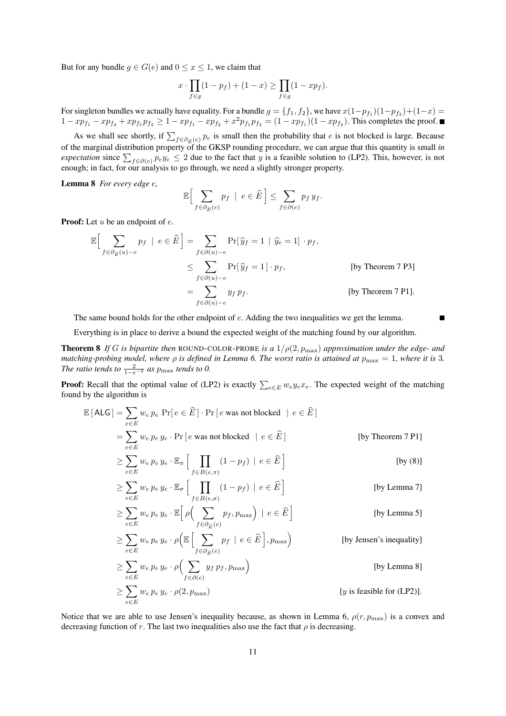But for any bundle  $g \in G(e)$  and  $0 \le x \le 1$ , we claim that

$$
x \cdot \prod_{f \in g} (1 - p_f) + (1 - x) \ge \prod_{f \in g} (1 - x p_f).
$$

For singleton bundles we actually have equality. For a bundle  $g = \{f_1, f_2\}$ , we have  $x(1-p_{f_1})(1-p_{f_2})+(1-x)$  $1 - xp_{f_1} - xp_{f_2} + xp_{f_1}p_{f_2} \geq 1 - xp_{f_1} - xp_{f_2} + x^2p_{f_1}p_{f_2} = (1 - xp_{f_1})(1 - xp_{f_2})$ . This completes the proof.

As we shall see shortly, if  $\sum_{f \in \partial_{\hat{E}}(e)} p_e$  is small then the probability that e is not blocked is large. Because of the marginal distribution property of the GKSP rounding procedure, we can argue that this quantity is small *in expectation* since  $\sum_{f \in \partial(e)} p_e y_e \leq 2$  due to the fact that y is a feasible solution to (LP2). This, however, is not enough; in fact, for our analysis to go through, we need a slightly stronger property.

Lemma 8 *For every edge* e*,*

$$
\mathbb{E}\Big[\sum_{f\in\partial_{\widehat{E}}(e)}p_f \ \mid \ e\in\widehat{E}\,\Big]\leq \sum_{f\in\partial(e)}p_f\,y_f.
$$

**Proof:** Let  $u$  be an endpoint of  $e$ .

≥

$$
\mathbb{E}\Big[\sum_{f \in \partial_{\tilde{E}}(u) - e} p_f \mid e \in \hat{E}\Big] = \sum_{f \in \partial(u) - e} \Pr[\hat{y}_f = 1 \mid \hat{y}_e = 1] \cdot p_f,
$$
\n
$$
\leq \sum_{f \in \partial(u) - e} \Pr[\hat{y}_f = 1] \cdot p_f,
$$
\n[by Theorem 7 P3]\n
$$
= \sum_{f \in \partial(u) - e} y_f p_f.
$$
\n[by Theorem 7 P1].

The same bound holds for the other endpoint of e. Adding the two inequalities we get the lemma.

Г

Everything is in place to derive a bound the expected weight of the matching found by our algorithm.

Theorem 8 *If* G *is bipartite then* ROUND-COLOR-PROBE *is a* 1/ρ(2, pmax) *approximation under the edge- and matching-probing model, where ρ is defined in Lemma 6. The worst ratio is attained at*  $p_{\text{max}} = 1$ *, where it is 3. The ratio tends to*  $\frac{2}{1-e^{-2}}$  *as*  $p_{\text{max}}$  *tends to 0.* 

**Proof:** Recall that the optimal value of (LP2) is exactly  $\sum_{e \in E} w_e y_e x_e$ . The expected weight of the matching found by the algorithm is

$$
\mathbb{E}\left[\text{ALG}\right] = \sum_{e \in E} w_e p_e \text{ Pr}\left[e \in \widehat{E}\right] \cdot \text{Pr}\left[e \text{ was not blocked} \mid e \in \widehat{E}\right]
$$
\n
$$
= \sum_{e \in E} w_e p_e y_e \cdot \text{Pr}\left[e \text{ was not blocked} \mid e \in \widehat{E}\right] \qquad \qquad \text{[by Theorem 7 P1]}
$$
\n
$$
\geq \sum_{e \in E} w_e p_e y_e \cdot \mathbb{E}_{\pi} \left[\prod_{f \in B(e,\pi)} (1 - p_f) \mid e \in \widehat{E}\right] \qquad \qquad \text{[by (8)]}
$$

$$
\geq \sum_{e \in E} w_e p_e y_e \cdot \mathbb{E}_{\sigma} \left[ \prod_{f \in B(e,\sigma)} (1 - p_f) \mid e \in \widehat{E} \right]
$$
 [by Lemma 7]

$$
\geq \sum_{e \in E} w_e p_e y_e \cdot \mathbb{E} \Big[ \rho \Big( \sum_{f \in \partial_{\widehat{E}}(e)} p_f, p_{\max} \Big) \mid e \in \widehat{E} \Big] \qquad \text{[by Lemma 5]}
$$

$$
\geq \sum_{e \in E} w_e p_e y_e \cdot \rho \Big( \mathbb{E} \Big[ \sum_{f \in \partial_{\widehat{E}}(e)} p_f \mid e \in \widehat{E} \Big], p_{\max} \Big) \qquad \qquad \text{[by Jensen's inequality]}
$$

$$
\geq \sum_{e \in E} w_e p_e y_e \cdot \rho \Big( \sum_{f \in \partial(e)} y_f p_f, p_{\text{max}} \Big)
$$
 [by Lemma 8]  

$$
\geq \sum_{e \in E} w_e p_e y_e \cdot \rho(2, p_{\text{max}})
$$
 [y is feasible for (LP2)].

Notice that we are able to use Jensen's inequality because, as shown in Lemma 6,  $\rho(r, p_{\text{max}})$  is a convex and decreasing function of r. The last two inequalities also use the fact that  $\rho$  is decreasing.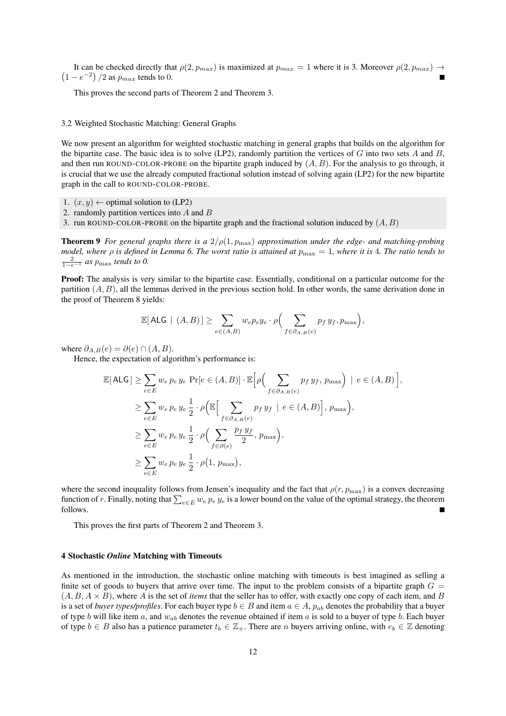$(1-e^{-2})/2$  as  $p_{max}$  tends to 0. It can be checked directly that  $\rho(2, p_{max})$  is maximized at  $p_{max} = 1$  where it is 3. Moreover  $\rho(2, p_{max}) \rightarrow$ 

This proves the second parts of Theorem 2 and Theorem 3.

#### 3.2 Weighted Stochastic Matching: General Graphs

We now present an algorithm for weighted stochastic matching in general graphs that builds on the algorithm for the bipartite case. The basic idea is to solve (LP2), randomly partition the vertices of  $G$  into two sets  $A$  and  $B$ , and then run ROUND-COLOR-PROBE on the bipartite graph induced by  $(A, B)$ . For the analysis to go through, it is crucial that we use the already computed fractional solution instead of solving again (LP2) for the new bipartite graph in the call to ROUND-COLOR-PROBE.

- 1.  $(x, y) \leftarrow$  optimal solution to (LP2)
- 2. randomly partition vertices into A and B
- 3. run ROUND-COLOR-PROBE on the bipartite graph and the fractional solution induced by  $(A, B)$

**Theorem 9** *For general graphs there is a*  $2/\rho(1, p_{\text{max}})$  *approximation under the edge- and matching-probing model, where* ρ *is defined in Lemma 6. The worst ratio is attained at* pmax = 1*, where it is* 4*. The ratio tends to*  $\frac{2}{1-e^{-1}}$  *as*  $p_{\text{max}}$  *tends to 0.* 

Proof: The analysis is very similar to the bipartite case. Essentially, conditional on a particular outcome for the partition  $(A, B)$ , all the lemmas derived in the previous section hold. In other words, the same derivation done in the proof of Theorem 8 yields:

$$
\mathbb{E}[\mathsf{ALG} \mid (A, B)] \ge \sum_{e \in (A, B)} w_e p_e y_e \cdot \rho \Big( \sum_{f \in \partial_{A, B}(e)} p_f y_f, p_{\max} \Big),
$$

where  $\partial_{A,B}(e) = \partial(e) \cap (A,B)$ .

Hence, the expectation of algorithm's performance is:

$$
\mathbb{E}[ALG] \geq \sum_{e \in E} w_e p_e y_e \Pr[e \in (A, B)] \cdot \mathbb{E} \Big[ \rho \Big( \sum_{f \in \partial_{A, B}(e)} p_f y_f, p_{\max} \Big) \mid e \in (A, B) \Big],
$$
  
\n
$$
\geq \sum_{e \in E} w_e p_e y_e \frac{1}{2} \cdot \rho \Big( \mathbb{E} \Big[ \sum_{f \in \partial_{A, B}(e)} p_f y_f \mid e \in (A, B) \Big], p_{\max} \Big),
$$
  
\n
$$
\geq \sum_{e \in E} w_e p_e y_e \frac{1}{2} \cdot \rho \Big( \sum_{f \in \partial(e)} \frac{p_f y_f}{2}, p_{\max} \Big),
$$
  
\n
$$
\geq \sum_{e \in E} w_e p_e y_e \frac{1}{2} \cdot \rho \Big( 1, p_{\max} \Big),
$$

where the second inequality follows from Jensen's inequality and the fact that  $\rho(r, p_{\text{max}})$  is a convex decreasing function of r. Finally, noting that  $\sum_{e\in E}w_e$   $p_e$   $y_e$  is a lower bound on the value of the optimal strategy, the theorem follows.

This proves the first parts of Theorem 2 and Theorem 3.

## 4 Stochastic *Online* Matching with Timeouts

As mentioned in the introduction, the stochastic online matching with timeouts is best imagined as selling a finite set of goods to buyers that arrive over time. The input to the problem consists of a bipartite graph  $G =$  $(A, B, A \times B)$ , where A is the set of *items* that the seller has to offer, with exactly one copy of each item, and B is a set of *buyer types/profiles*. For each buyer type  $b \in B$  and item  $a \in A$ ,  $p_{ab}$  denotes the probability that a buyer of type b will like item a, and  $w_{ab}$  denotes the revenue obtained if item a is sold to a buyer of type b. Each buyer of type  $b \in B$  also has a patience parameter  $t_b \in \mathbb{Z}_+$ . There are n buyers arriving online, with  $e_b \in \mathbb{Z}$  denoting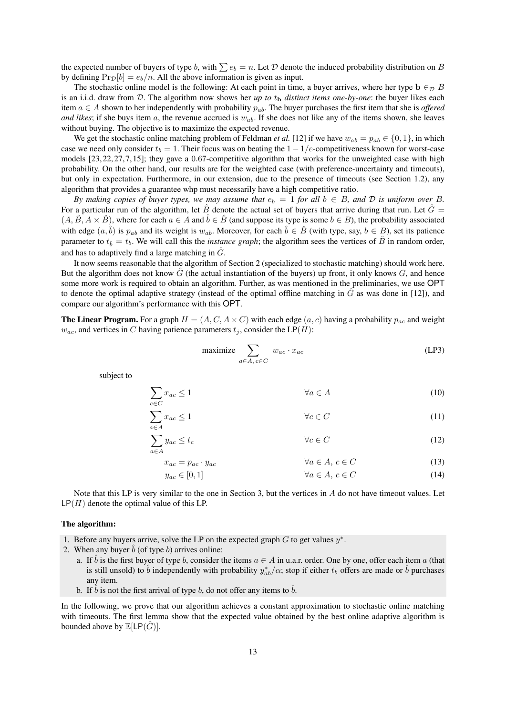the expected number of buyers of type b, with  $\sum e_b = n$ . Let D denote the induced probability distribution on B by defining  $Pr_{\mathcal{D}}[b] = e_b/n$ . All the above information is given as input.

The stochastic online model is the following: At each point in time, a buyer arrives, where her type  $\mathbf{b} \in_{\mathcal{D}} B$ is an i.i.d. draw from  $D$ . The algorithm now shows her *up to*  $t<sub>b</sub>$  *distinct items one-by-one*: the buyer likes each item  $a \in A$  shown to her independently with probability  $p_{ab}$ . The buyer purchases the first item that she is *offered and likes*; if she buys item a, the revenue accrued is  $w_{ab}$ . If she does not like any of the items shown, she leaves without buying. The objective is to maximize the expected revenue.

We get the stochastic online matching problem of Feldman *et al.* [12] if we have  $w_{ab} = p_{ab} \in \{0, 1\}$ , in which case we need only consider  $t_b = 1$ . Their focus was on beating the  $1 - 1/e$ -competitiveness known for worst-case models [23, 22, 27, 7, 15]; they gave a 0.67-competitive algorithm that works for the unweighted case with high probability. On the other hand, our results are for the weighted case (with preference-uncertainty and timeouts), but only in expectation. Furthermore, in our extension, due to the presence of timeouts (see Section 1.2), any algorithm that provides a guarantee whp must necessarily have a high competitive ratio.

*By making copies of buyer types, we may assume that*  $e_b = 1$  *for all*  $b \in B$ *, and*  $D$  *is uniform over*  $B$ *.* For a particular run of the algorithm, let  $\hat{B}$  denote the actual set of buyers that arrive during that run. Let  $\hat{G} =$  $(A, \hat{B}, A \times \hat{B})$ , where for each  $a \in A$  and  $\hat{b} \in \hat{B}$  (and suppose its type is some  $b \in B$ ), the probability associated with edge  $(a, b)$  is  $p_{ab}$  and its weight is  $w_{ab}$ . Moreover, for each  $b \in B$  (with type, say,  $b \in B$ ), set its patience parameter to  $t_{\hat{b}} = t_b$ . We will call this the *instance graph*; the algorithm sees the vertices of  $\hat{B}$  in random order, and has to adaptively find a large matching in  $\tilde{G}$ .

It now seems reasonable that the algorithm of Section 2 (specialized to stochastic matching) should work here. But the algorithm does not know  $\hat{G}$  (the actual instantiation of the buyers) up front, it only knows  $G$ , and hence some more work is required to obtain an algorithm. Further, as was mentioned in the preliminaries, we use OPT to denote the optimal adaptive strategy (instead of the optimal offline matching in  $\hat{G}$  as was done in [12]), and compare our algorithm's performance with this OPT.

**The Linear Program.** For a graph  $H = (A, C, A \times C)$  with each edge  $(a, c)$  having a probability  $p_{ac}$  and weight  $w_{ac}$ , and vertices in C having patience parameters  $t_i$ , consider the LP(H):

$$
\text{maximize} \sum_{a \in A, c \in C} w_{ac} \cdot x_{ac} \tag{LP3}
$$

subject to

$$
\sum_{c \in C} x_{ac} \le 1 \qquad \qquad \forall a \in A \tag{10}
$$

$$
\sum_{a \in A} x_{ac} \le 1 \qquad \forall c \in C \tag{11}
$$

$$
y_{ac} \le t_c \qquad \qquad \forall c \in C \tag{12}
$$

$$
x_{ac} = p_{ac} \cdot y_{ac}
$$
  
\n
$$
y_{ac} \in [0, 1]
$$
  
\n
$$
\forall a \in A, c \in C
$$
  
\n
$$
\forall a \in A, c \in C
$$
  
\n(13)

Note that this LP is very similar to the one in Section 3, but the vertices in A do not have timeout values. Let  $\mathsf{LP}(H)$  denote the optimal value of this LP.

## The algorithm:

- 1. Before any buyers arrive, solve the LP on the expected graph  $G$  to get values  $y^*$ .
- 2. When any buyer  $b$  (of type  $b$ ) arrives online:

 $\sum$ a∈A

- a. If *b* is the first buyer of type *b*, consider the items  $a \in A$  in u.a.r. order. One by one, offer each item *a* (that is still unsold) to  $\hat{b}$  independently with probability  $y_{ab}^*/\alpha$ ; stop if either  $t_b$  offers are made or  $\hat{b}$  purchases any item.
- b. If  $\overline{b}$  is not the first arrival of type b, do not offer any items to  $\overline{b}$ .

In the following, we prove that our algorithm achieves a constant approximation to stochastic online matching with timeouts. The first lemma show that the expected value obtained by the best online adaptive algorithm is bounded above by  $\mathbb{E}[\mathsf{LP}(G)]$ .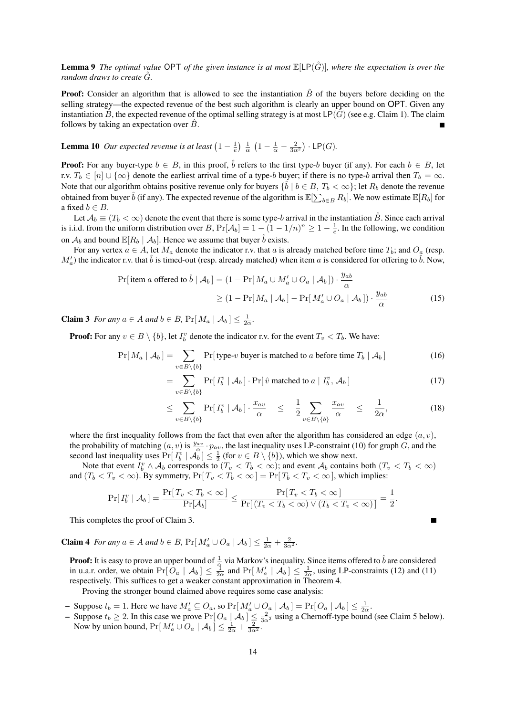**Lemma 9** *The optimal value* OPT *of the given instance is at most*  $\mathbb{E}[LP(\hat{G})]$ *, where the expectation is over the random draws to create*  $\hat{G}$ *.* 

**Proof:** Consider an algorithm that is allowed to see the instantiation  $\hat{B}$  of the buyers before deciding on the selling strategy—the expected revenue of the best such algorithm is clearly an upper bound on OPT. Given any instantiation B, the expected revenue of the optimal selling strategy is at most  $LP(G)$  (see e.g. Claim 1). The claim follows by taking an expectation over  $\hat{B}$ .

**Lemma 10** Our expected revenue is at least  $\left(1 - \frac{1}{e}\right) \frac{1}{\alpha} \left(1 - \frac{1}{\alpha} - \frac{2}{3\alpha^2}\right) \cdot \text{LP}(G)$ .

**Proof:** For any buyer-type  $b \in B$ , in this proof,  $\hat{b}$  refers to the first type-b buyer (if any). For each  $b \in B$ , let r.v.  $T_b \in [n] \cup \{\infty\}$  denote the earliest arrival time of a type-b buyer; if there is no type-b arrival then  $T_b = \infty$ . Note that our algorithm obtains positive revenue only for buyers  $\{\hat{b} \mid b \in B, T_b < \infty\}$ ; let  $R_b$  denote the revenue obtained from buyer  $\hat{b}$  (if any). The expected revenue of the algorithm is  $\mathbb{E}[\sum_{b\in B}R_b]$ . We now estimate  $\mathbb{E}[R_b]$  for a fixed  $b \in B$ .

Let  $A_b \equiv (T_b < \infty)$  denote the event that there is some type-b arrival in the instantiation  $\hat{B}$ . Since each arrival is i.i.d. from the uniform distribution over B,  $Pr[\mathcal{A}_b] = 1 - (1 - 1/n)^n \ge 1 - \frac{1}{e}$ . In the following, we condition on  $\mathcal{A}_b$  and bound  $\mathbb{E}[R_b | \mathcal{A}_b]$ . Hence we assume that buyer  $\hat{b}$  exists.

For any vertex  $a \in A$ , let  $M_a$  denote the indicator r.v. that a is already matched before time  $T_b$ ; and  $O_a$  (resp.  $M'_a$ ) the indicator r.v. that  $\hat{b}$  is timed-out (resp. already matched) when item a is considered for offering to  $\hat{b}$ . Now,

$$
\Pr[\text{item } a \text{ offered to } \hat{b} \mid \mathcal{A}_b] = (1 - \Pr[M_a \cup M'_a \cup O_a \mid \mathcal{A}_b]) \cdot \frac{y_{ab}}{\alpha}
$$

$$
\geq (1 - \Pr[M_a \mid \mathcal{A}_b] - \Pr[M'_a \cup O_a \mid \mathcal{A}_b]) \cdot \frac{y_{ab}}{\alpha}
$$
(15)

**Claim 3** *For any*  $a \in A$  *and*  $b \in B$ ,  $\Pr[M_a | A_b] \leq \frac{1}{2\alpha}$ .

**Proof:** For any  $v \in B \setminus \{b\}$ , let  $I_b^v$  denote the indicator r.v. for the event  $T_v < T_b$ . We have:

$$
\Pr[M_a | \mathcal{A}_b] = \sum_{v \in B \setminus \{b\}} \Pr[\text{type-}v \text{ buyer is matched to } a \text{ before time } T_b | \mathcal{A}_b]
$$
(16)

$$
= \sum_{v \in B \setminus \{b\}} \Pr[I_b^v \mid \mathcal{A}_b] \cdot \Pr[\hat{v} \text{ matched to } a \mid I_b^v, \mathcal{A}_b] \tag{17}
$$

$$
\leq \sum_{v \in B \setminus \{b\}} \Pr[I_b^v \mid \mathcal{A}_b] \cdot \frac{x_{av}}{\alpha} \leq \frac{1}{2} \sum_{v \in B \setminus \{b\}} \frac{x_{av}}{\alpha} \leq \frac{1}{2\alpha}, \tag{18}
$$

where the first inequality follows from the fact that even after the algorithm has considered an edge  $(a, v)$ , the probability of matching  $(a, v)$  is  $\frac{y_{av}}{\alpha} \cdot p_{av}$ , the last inequality uses LP-constraint (10) for graph  $\tilde{G}$ , and the second last inequality uses  $Pr[I_b^v | \overline{A_b}] \leq \frac{1}{2}$  (for  $v \in B \setminus \{b\}$ ), which we show next.

Note that event  $I_b^v \wedge A_b$  corresponds to  $(T_v < T_b < \infty)$ ; and event  $A_b$  contains both  $(T_v < T_b < \infty)$ and  $(T_b < T_v < \infty)$ . By symmetry,  $Pr[T_v < T_b < \infty] = Pr[T_b < T_v < \infty]$ , which implies:

$$
\Pr[T_b^v \mid \mathcal{A}_b] = \frac{\Pr[T_v < T_b < \infty]}{\Pr[\mathcal{A}_b]} \le \frac{\Pr[T_v < T_b < \infty]}{\Pr[(T_v < T_b < \infty) \lor (T_b < T_v < \infty)]} = \frac{1}{2}.
$$

This completes the proof of Claim 3.

**Claim 4** *For any*  $a \in A$  *and*  $b \in B$ ,  $Pr[M'_a \cup O_a | A_b] \leq \frac{1}{2\alpha} + \frac{2}{3\alpha^2}$ .

**Proof:** It is easy to prove an upper bound of  $\frac{1}{\alpha}$  via Markov's inequality. Since items offered to  $\hat{b}$  are considered in u.a.r. order, we obtain  $Pr[O_a | A_b] \leq \frac{1}{2\alpha}$  and  $Pr[M'_a | A_b] \leq \frac{1}{2\alpha}$ , using LP-constraints (12) and (11) respectively. This suffices to get a weaker constant approximation in Theorem 4.

Proving the stronger bound claimed above requires some case analysis:

- Suppose  $t_b = 1$ . Here we have  $M'_a \subseteq O_a$ , so  $Pr[M'_a \cup O_a | \mathcal{A}_b] = Pr[ O_a | \mathcal{A}_b] \le \frac{1}{2\alpha}$ .
- Suppose  $t_b \ge 2$ . In this case we prove  $Pr[O_a | A_b] \le \frac{2}{3\alpha^2}$  using a Chernoff-type bound (see Claim 5 below). Now by union bound,  $Pr[M'_a \cup O_a | \mathcal{A}_b] \leq \frac{1}{2\alpha} + \frac{2}{3\alpha^2}$ .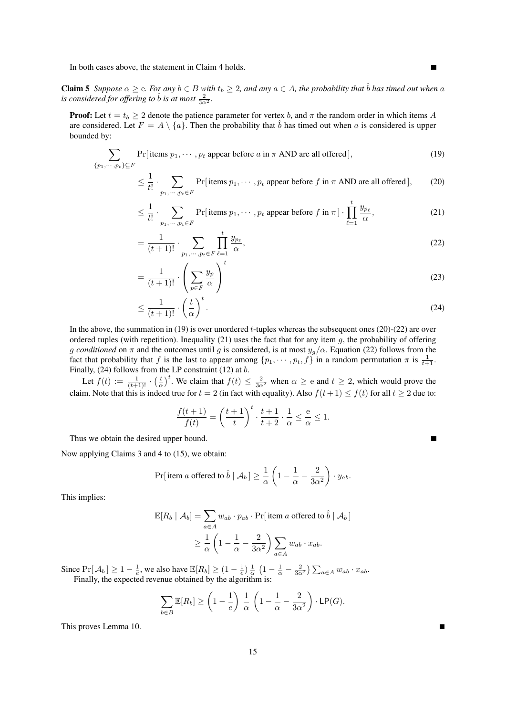In both cases above, the statement in Claim 4 holds.

**Claim 5** *Suppose*  $\alpha \ge e$ *. For any*  $b \in B$  *with*  $t_b \ge 2$ *, and any*  $a \in A$ *, the probability that*  $\hat{b}$  *has timed out when* a *is considered for offering to*  $\hat{b}$  *<i>is at most*  $\frac{2}{3\alpha^2}$ *.* 

**Proof:** Let  $t = t_b \geq 2$  denote the patience parameter for vertex b, and  $\pi$  the random order in which items A are considered. Let  $F = A \setminus \{a\}$ . Then the probability that  $\hat{b}$  has timed out when a is considered is upper bounded by:

$$
\sum_{\{p_1,\dots,p_t\}\subseteq F} \Pr[\text{items } p_1,\dots,p_t \text{ appear before } a \text{ in } \pi \text{ AND are all offered}], \tag{19}
$$

$$
\leq \frac{1}{t!} \cdot \sum_{p_1, \dots, p_t \in F} \Pr[\text{items } p_1, \dots, p_t \text{ appear before } f \text{ in } \pi \text{ AND are all offered}], \tag{20}
$$

$$
\leq \frac{1}{t!} \cdot \sum_{p_1, \cdots, p_t \in F} \Pr[\text{items } p_1, \cdots, p_t \text{ appear before } f \text{ in } \pi] \cdot \prod_{\ell=1}^t \frac{y_{p_\ell}}{\alpha},\tag{21}
$$

$$
=\frac{1}{(t+1)!}\cdot\sum_{p_1,\cdots,p_t\in F}\prod_{\ell=1}^t\frac{y_{p_\ell}}{\alpha},\tag{22}
$$

$$
=\frac{1}{(t+1)!} \cdot \left(\sum_{p \in F} \frac{y_p}{\alpha}\right)^t \tag{23}
$$

$$
\leq \frac{1}{(t+1)!} \cdot \left(\frac{t}{\alpha}\right)^t.
$$
\n(24)

In the above, the summation in (19) is over unordered *t*-tuples whereas the subsequent ones (20)-(22) are over ordered tuples (with repetition). Inequality (21) uses the fact that for any item  $g$ , the probability of offering g *conditioned* on  $\pi$  and the outcomes until g is considered, is at most  $y_g/\alpha$ . Equation (22) follows from the fact that probability that f is the last to appear among  $\{p_1, \dots, p_t, f\}$  in a random permutation  $\pi$  is  $\frac{1}{t+1}$ . Finally, (24) follows from the LP constraint (12) at b.

Let  $f(t) := \frac{1}{(t+1)!} \cdot \left(\frac{t}{\alpha}\right)^t$ . We claim that  $f(t) \leq \frac{2}{3\alpha^2}$  when  $\alpha \geq e$  and  $t \geq 2$ , which would prove the claim. Note that this is indeed true for  $t = 2$  (in fact with equality). Also  $f(t+1) \le f(t)$  for all  $t \ge 2$  due to:

$$
\frac{f(t+1)}{f(t)} = \left(\frac{t+1}{t}\right)^t \cdot \frac{t+1}{t+2} \cdot \frac{1}{\alpha} \le \frac{e}{\alpha} \le 1.
$$

Thus we obtain the desired upper bound.

Now applying Claims 3 and 4 to (15), we obtain:

$$
\Pr[\text{item } a \text{ offered to } \hat{b} \mid \mathcal{A}_b] \ge \frac{1}{\alpha} \left(1 - \frac{1}{\alpha} - \frac{2}{3\alpha^2}\right) \cdot y_{ab}.
$$

This implies:

$$
\mathbb{E}[R_b | \mathcal{A}_b] = \sum_{a \in A} w_{ab} \cdot p_{ab} \cdot \Pr[\text{ item } a \text{ offered to } \hat{b} | \mathcal{A}_b]
$$

$$
\geq \frac{1}{\alpha} \left( 1 - \frac{1}{\alpha} - \frac{2}{3\alpha^2} \right) \sum_{a \in A} w_{ab} \cdot x_{ab}.
$$

Since  $Pr[\mathcal{A}_b] \ge 1 - \frac{1}{e}$ , we also have  $\mathbb{E}[R_b] \ge (1 - \frac{1}{e}) \frac{1}{\alpha} (1 - \frac{1}{\alpha} - \frac{2}{3\alpha^2}) \sum_{a \in A} w_{ab} \cdot x_{ab}$ . Finally, the expected revenue obtained by the algorithm is:

$$
\sum_{b \in B} \mathbb{E}[R_b] \ge \left(1 - \frac{1}{e}\right) \frac{1}{\alpha} \left(1 - \frac{1}{\alpha} - \frac{2}{3\alpha^2}\right) \cdot \mathsf{LP}(G).
$$

This proves Lemma 10.

٠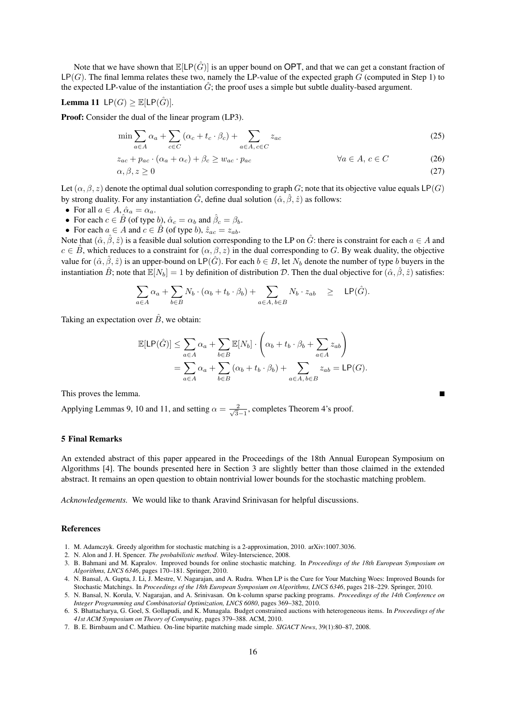Note that we have shown that  $\mathbb{E}[LP(\hat{G})]$  is an upper bound on OPT, and that we can get a constant fraction of  $LP(G)$ . The final lemma relates these two, namely the LP-value of the expected graph  $G$  (computed in Step 1) to the expected LP-value of the instantiation  $\hat{G}$ ; the proof uses a simple but subtle duality-based argument.

**Lemma 11** 
$$
\textsf{LP}(G) \geq \mathbb{E}[\textsf{LP}(\hat{G})].
$$

Proof: Consider the dual of the linear program (LP3).

$$
\min \sum_{a \in A} \alpha_a + \sum_{c \in C} (\alpha_c + t_c \cdot \beta_c) + \sum_{a \in A, c \in C} z_{ac} \tag{25}
$$

$$
z_{ac} + p_{ac} \cdot (\alpha_a + \alpha_c) + \beta_c \ge w_{ac} \cdot p_{ac}
$$
  
\n
$$
\alpha, \beta, z \ge 0
$$
\n
$$
(26)
$$
\n
$$
(27)
$$

Let  $(\alpha, \beta, z)$  denote the optimal dual solution corresponding to graph G; note that its objective value equals LP(G) by strong duality. For any instantiation  $\hat{G}$ , define dual solution  $(\hat{\alpha}, \hat{\beta}, \hat{z})$  as follows:

• For all  $a \in A$ ,  $\hat{\alpha}_a = \alpha_a$ .

- For each  $c \in \hat{B}$  (of type b),  $\hat{\alpha}_c = \alpha_b$  and  $\hat{\beta}_c = \beta_b$ .
- For each  $a \in A$  and  $c \in \hat{B}$  (of type b),  $\hat{z}_{ac} = z_{ab}$ .

Note that  $(\hat{\alpha}, \hat{\beta}, \hat{z})$  is a feasible dual solution corresponding to the LP on  $\hat{G}$ : there is constraint for each  $a \in A$  and  $c \in B$ , which reduces to a constraint for  $(\alpha, \beta, z)$  in the dual corresponding to G. By weak duality, the objective value for  $(\hat{\alpha}, \hat{\beta}, \hat{z})$  is an upper-bound on LP( $\hat{G}$ ). For each  $b \in B$ , let  $N_b$  denote the number of type b buyers in the instantiation  $\hat{B}$ ; note that  $\mathbb{E}[N_b] = 1$  by definition of distribution D. Then the dual objective for  $(\hat{\alpha}, \hat{\beta}, \hat{z})$  satisfies:

$$
\sum_{a\in A} \alpha_a + \sum_{b\in B} N_b \cdot (\alpha_b + t_b \cdot \beta_b) + \sum_{a\in A, b\in B} N_b \cdot z_{ab} \geq \mathsf{LP}(\hat{G}).
$$

Taking an expectation over  $\hat{B}$ , we obtain:

$$
\mathbb{E}[\mathsf{LP}(\hat{G})] \leq \sum_{a \in A} \alpha_a + \sum_{b \in B} \mathbb{E}[N_b] \cdot \left(\alpha_b + t_b \cdot \beta_b + \sum_{a \in A} z_{ab}\right)
$$
  
= 
$$
\sum_{a \in A} \alpha_a + \sum_{b \in B} (\alpha_b + t_b \cdot \beta_b) + \sum_{a \in A, b \in B} z_{ab} = \mathsf{LP}(G).
$$

This proves the lemma.

Applying Lemmas 9, 10 and 11, and setting  $\alpha = \frac{2}{\sqrt{2}}$  $\frac{2}{3-1}$ , completes Theorem 4's proof.

## 5 Final Remarks

An extended abstract of this paper appeared in the Proceedings of the 18th Annual European Symposium on Algorithms [4]. The bounds presented here in Section 3 are slightly better than those claimed in the extended abstract. It remains an open question to obtain nontrivial lower bounds for the stochastic matching problem.

*Acknowledgements.* We would like to thank Aravind Srinivasan for helpful discussions.

#### References

- 1. M. Adamczyk. Greedy algorithm for stochastic matching is a 2-approximation, 2010. arXiv:1007.3036.
- 2. N. Alon and J. H. Spencer. *The probabilistic method*. Wiley-Interscience, 2008.
- 3. B. Bahmani and M. Kapralov. Improved bounds for online stochastic matching. In *Proceedings of the 18th European Symposium on Algorithms, LNCS 6346*, pages 170–181. Springer, 2010.
- 4. N. Bansal, A. Gupta, J. Li, J. Mestre, V. Nagarajan, and A. Rudra. When LP is the Cure for Your Matching Woes: Improved Bounds for Stochastic Matchings. In *Proceedings of the 18th European Symposium on Algorithms, LNCS 6346*, pages 218–229. Springer, 2010.
- 5. N. Bansal, N. Korula, V. Nagarajan, and A. Srinivasan. On k-column sparse packing programs. *Proceedings of the 14th Conference on Integer Programming and Combinatorial Optimization, LNCS 6080*, pages 369–382, 2010.
- 6. S. Bhattacharya, G. Goel, S. Gollapudi, and K. Munagala. Budget constrained auctions with heterogeneous items. In *Proceedings of the 41st ACM Symposium on Theory of Computing*, pages 379–388. ACM, 2010.
- 7. B. E. Birnbaum and C. Mathieu. On-line bipartite matching made simple. *SIGACT News*, 39(1):80–87, 2008.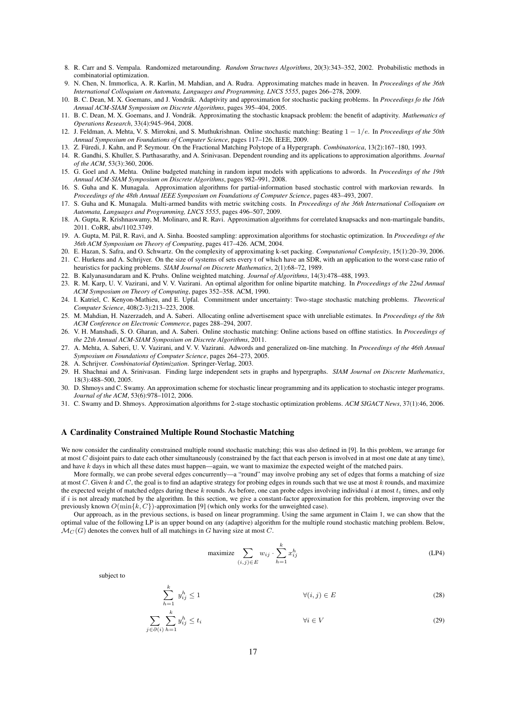- 8. R. Carr and S. Vempala. Randomized metarounding. *Random Structures Algorithms*, 20(3):343–352, 2002. Probabilistic methods in combinatorial optimization.
- 9. N. Chen, N. Immorlica, A. R. Karlin, M. Mahdian, and A. Rudra. Approximating matches made in heaven. In *Proceedings of the 36th International Colloquium on Automata, Languages and Programming, LNCS 5555*, pages 266–278, 2009.
- 10. B. C. Dean, M. X. Goemans, and J. Vondrak. Adaptivity and approximation for stochastic packing problems. In ´ *Proceedings fo the 16th Annual ACM-SIAM Symposium on Discrete Algorithms*, pages 395–404, 2005.
- 11. B. C. Dean, M. X. Goemans, and J. Vondrák. Approximating the stochastic knapsack problem: the benefit of adaptivity. Mathematics of *Operations Research*, 33(4):945–964, 2008.
- 12. J. Feldman, A. Mehta, V. S. Mirrokni, and S. Muthukrishnan. Online stochastic matching: Beating 1 − 1/e. In *Proceedings of the 50th Annual Symposium on Foundations of Computer Science*, pages 117–126. IEEE, 2009.
- 13. Z. Füredi, J. Kahn, and P. Seymour. On the Fractional Matching Polytope of a Hypergraph. *Combinatorica*, 13(2):167-180, 1993.
- 14. R. Gandhi, S. Khuller, S. Parthasarathy, and A. Srinivasan. Dependent rounding and its applications to approximation algorithms. *Journal of the ACM*, 53(3):360, 2006.
- 15. G. Goel and A. Mehta. Online budgeted matching in random input models with applications to adwords. In *Proceedings of the 19th Annual ACM-SIAM Symposium on Discrete Algorithms*, pages 982–991, 2008.
- 16. S. Guha and K. Munagala. Approximation algorithms for partial-information based stochastic control with markovian rewards. In *Proceedings of the 48th Annual IEEE Symposium on Foundations of Computer Science*, pages 483–493, 2007.
- 17. S. Guha and K. Munagala. Multi-armed bandits with metric switching costs. In *Proceedings of the 36th International Colloquium on Automata, Languages and Programming, LNCS 5555*, pages 496–507, 2009.
- 18. A. Gupta, R. Krishnaswamy, M. Molinaro, and R. Ravi. Approximation algorithms for correlated knapsacks and non-martingale bandits, 2011. CoRR, abs/1102.3749.
- 19. A. Gupta, M. Pál, R. Ravi, and A. Sinha. Boosted sampling: approximation algorithms for stochastic optimization. In *Proceedings of the 36th ACM Symposium on Theory of Computing*, pages 417–426. ACM, 2004.
- 20. E. Hazan, S. Safra, and O. Schwartz. On the complexity of approximating k-set packing. *Computational Complexity*, 15(1):20–39, 2006. 21. C. Hurkens and A. Schrijver. On the size of systems of sets every t of which have an SDR, with an application to the worst-case ratio of
- heuristics for packing problems. *SIAM Journal on Discrete Mathematics*, 2(1):68–72, 1989.
- 22. B. Kalyanasundaram and K. Pruhs. Online weighted matching. *Journal of Algorithms*, 14(3):478–488, 1993.
- 23. R. M. Karp, U. V. Vazirani, and V. V. Vazirani. An optimal algorithm for online bipartite matching. In *Proceedings of the 22nd Annual ACM Symposium on Theory of Computing*, pages 352–358. ACM, 1990.
- 24. I. Katriel, C. Kenyon-Mathieu, and E. Upfal. Commitment under uncertainty: Two-stage stochastic matching problems. *Theoretical Computer Science*, 408(2-3):213–223, 2008.
- 25. M. Mahdian, H. Nazerzadeh, and A. Saberi. Allocating online advertisement space with unreliable estimates. In *Proceedings of the 8th ACM Conference on Electronic Commerce*, pages 288–294, 2007.
- 26. V. H. Manshadi, S. O. Gharan, and A. Saberi. Online stochastic matching: Online actions based on offline statistics. In *Proceedings of the 22th Annual ACM-SIAM Symposium on Discrete Algorithms*, 2011.
- 27. A. Mehta, A. Saberi, U. V. Vazirani, and V. V. Vazirani. Adwords and generalized on-line matching. In *Proceedings of the 46th Annual Symposium on Foundations of Computer Science*, pages 264–273, 2005.
- 28. A. Schrijver. *Combinatorial Optimization*. Springer-Verlag, 2003.
- 29. H. Shachnai and A. Srinivasan. Finding large independent sets in graphs and hypergraphs. *SIAM Journal on Discrete Mathematics*, 18(3):488–500, 2005.
- 30. D. Shmoys and C. Swamy. An approximation scheme for stochastic linear programming and its application to stochastic integer programs. *Journal of the ACM*, 53(6):978–1012, 2006.
- 31. C. Swamy and D. Shmoys. Approximation algorithms for 2-stage stochastic optimization problems. *ACM SIGACT News*, 37(1):46, 2006.

## A Cardinality Constrained Multiple Round Stochastic Matching

 $\sum_{k=1}^{k}$  $h=1$ 

We now consider the cardinality constrained multiple round stochastic matching; this was also defined in [9]. In this problem, we arrange for at most C disjoint pairs to date each other simultaneously (constrained by the fact that each person is involved in at most one date at any time), and have k days in which all these dates must happen—again, we want to maximize the expected weight of the matched pairs.

More formally, we can probe several edges concurrently—a "round" may involve probing any set of edges that forms a matching of size at most  $C$ . Given  $k$  and  $C$ , the goal is to find an adaptive strategy for probing edges in rounds such that we use at most  $k$  rounds, and maximize the expected weight of matched edges during these k rounds. As before, one can probe edges involving individual i at most  $t_i$  times, and only if  $i$  is not already matched by the algorithm. In this section, we give a constant-factor approximation for this problem, improving over the previously known  $O(\min\{k, C\})$ -approximation [9] (which only works for the unweighted case).

Our approach, as in the previous sections, is based on linear programming. Using the same argument in Claim 1, we can show that the optimal value of the following LP is an upper bound on any (adaptive) algorithm for the multiple round stochastic matching problem. Below,  $\mathcal{M}_C(G)$  denotes the convex hull of all matchings in G having size at most C.

$$
\text{maximize } \sum_{(i,j)\in E} w_{ij} \cdot \sum_{h=1}^k x_{ij}^h \tag{LP4}
$$

subject to

$$
y_{ij}^h \le 1 \qquad \qquad \forall (i,j) \in E \tag{28}
$$

$$
\sum_{j \in \partial(i)} \sum_{h=1}^{k} y_{ij}^h \le t_i \qquad \forall i \in V \tag{29}
$$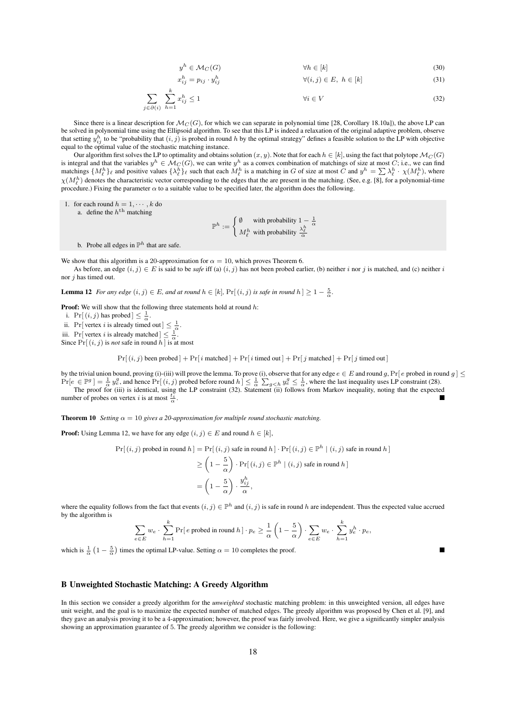$$
y^h \in \mathcal{M}_C(G) \qquad \qquad \forall h \in [k] \tag{30}
$$

 $\forall (i, j) \in E, h \in [k]$  (31)

$$
\sum_{i \in \partial(i)} \sum_{h=1}^{k} x_{ij}^h \le 1 \qquad \forall i \in V \tag{32}
$$

Since there is a linear description for  $\mathcal{M}_C(G)$ , for which we can separate in polynomial time [28, Corollary 18.10a]), the above LP can be solved in polynomial time using the Ellipsoid algorithm. To see that this LP is indeed a relaxation of the original adaptive problem, observe that setting  $y_{ij}^h$  to be "probability that  $(i, j)$  is probed in round h by the optimal strategy" defines a feasible solution to the LP with objective equal to the optimal value of the stochastic matching instance.

Our algorithm first solves the LP to optimality and obtains solution  $(x, y)$ . Note that for each  $h \in [k]$ , using the fact that polytope  $\mathcal{M}_{C}(G)$ is integral and that the variables  $y^h \in \mathcal{M}_C(G)$ , we can write  $y^h$  as a convex combination of matchings of size at most C; i.e., we can find matchings  $\{M_{\ell}^h\}_{\ell}$  and positive values  $\{\lambda_{\ell}^h\}_{\ell}$  such that each  $M_{\ell}^h$  is a matching in G of size at most C and  $y^h = \sum \lambda_{\ell}^h \cdot \chi(M_{\ell}^h)$ , where  $\chi(M_{\ell}^{h})$  denotes the characteristic vector corresponding to the edges that the are present in the matching. (See, e.g. [8], for a polynomial-time procedure.) Fixing the parameter  $\alpha$  to a suitable value to be specified later, the algorithm does the following.

1. for each round  $h = 1, \dots, k$  do a. define the  $h<sup>th</sup>$  matching

 $\mathbb{P}^h := \begin{cases} \emptyset & \text{with probability } 1 - \frac{1}{\alpha} \ \ M_{\ell}^h & \text{with probability } \frac{\lambda_{\ell}^h}{\alpha} \end{cases}$ 

b. Probe all edges in  $\mathbb{P}^h$  that are safe.

j∈∂(i)

We show that this algorithm is a 20-approximation for  $\alpha = 10$ , which proves Theorem 6.

As before, an edge  $(i, j) \in E$  is said to be *safe* iff (a)  $(i, j)$  has not been probed earlier, (b) neither i nor j is matched, and (c) neither i nor j has timed out.

**Lemma 12** *For any edge*  $(i, j) \in E$ *, and at round*  $h \in [k]$ ,  $Pr[(i, j)$  *is safe in round*  $h] \geq 1 - \frac{5}{\alpha}$ *.* 

 $x_{ij}^h=p_{ij}\cdot y_{ij}^h$ 

Proof: We will show that the following three statements hold at round h:

i.  $Pr[(i, j)$  has probed  $] \leq \frac{1}{\alpha}$ .

ii. Pr[vertex *i* is already timed out]  $\leq \frac{1}{\alpha}$ .

iii. Pr[vertex *i* is already matched]  $\leq \frac{1}{\alpha}$ . Since  $Pr[(i, j)$  is *not* safe in round h is at most

 $Pr[(i, j)$  been probed  $] + Pr[i$  matched  $] + Pr[i$  timed out  $] + Pr[j$  matched  $] + Pr[j$  timed out  $]$ 

by the trivial union bound, proving (i)-(iii) will prove the lemma. To prove (i), observe that for any edge  $e \in E$  and round g, Pr[ $e$  probed in round g]  $\leq$  $Pr[e \in \mathbb{P}^g] = \frac{1}{\alpha} y_e^g$ , and hence  $Pr[(i, j)$  probed before round  $h \leq \frac{1}{\alpha} \sum_{g \leq h} y_e^g \leq \frac{1}{\alpha}$ , where the last inequality uses LP constraint (28). The proof for (iii) is identical, using the LP constraint (32). Statement (ii) follows from Markov inequality, noting that the expected

number of probes on vertex *i* is at most  $\frac{t_i^2}{\alpha}$ .

**Theorem 10** *Setting*  $\alpha = 10$  *gives a 20-approximation for multiple round stochastic matching* 

**Proof:** Using Lemma 12, we have for any edge  $(i, j) \in E$  and round  $h \in [k]$ ,

$$
\begin{aligned} \Pr[\,(i,j)\text{ probed in round }h\,] &= \Pr[\,(i,j)\text{ safe in round }h\,]\cdot\Pr[\,(i,j)\in\mathbb{P}^h\mid (i,j)\text{ safe in round }h\,] \\ &\geq \left(1-\frac{5}{\alpha}\right)\cdot\Pr[\,(i,j)\in\mathbb{P}^h\mid (i,j)\text{ safe in round }h\,] \\ &= \left(1-\frac{5}{\alpha}\right)\cdot\frac{y_{ij}^h}{\alpha}, \end{aligned}
$$

where the equality follows from the fact that events  $(i, j) \in \mathbb{P}^h$  and  $(i, j)$  is safe in round h are independent. Thus the expected value accrued by the algorithm is

$$
\sum_{e \in E} w_e \cdot \sum_{h=1}^k \Pr[e \text{ probed in round } h] \cdot p_e \ge \frac{1}{\alpha} \left( 1 - \frac{5}{\alpha} \right) \cdot \sum_{e \in E} w_e \cdot \sum_{h=1}^k y_e^h \cdot p_e,
$$

which is  $\frac{1}{\alpha}$   $\left(1 - \frac{5}{\alpha}\right)$  times the optimal LP-value. Setting  $\alpha = 10$  completes the proof.

## B Unweighted Stochastic Matching: A Greedy Algorithm

In this section we consider a greedy algorithm for the *unweighted* stochastic matching problem: in this unweighted version, all edges have unit weight, and the goal is to maximize the expected number of matched edges. The greedy algorithm was proposed by Chen et al. [9], and they gave an analysis proving it to be a 4-approximation; however, the proof was fairly involved. Here, we give a significantly simpler analysis showing an approximation guarantee of 5. The greedy algorithm we consider is the following: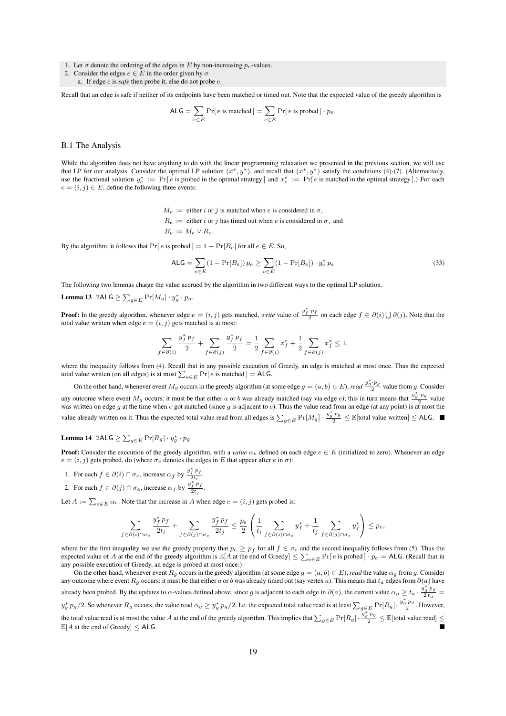- 1. Let  $\sigma$  denote the ordering of the edges in E by non-increasing  $p_e$ -values.
- 2. Consider the edges  $e \in E$  in the order given by  $\sigma$ 
	- a. If edge e is *safe* then probe it, else do not probe e.

Recall that an edge is safe if neither of its endpoints have been matched or timed out. Note that the expected value of the greedy algorithm is

$$
\mathsf{ALG} = \sum_{e \in E} \Pr[\, e \text{ is matched}\,] = \sum_{e \in E} \Pr[\, e \text{ is probed}\,] \cdot p_e.
$$

### B.1 The Analysis

While the algorithm does not have anything to do with the linear programming relaxation we presented in the previous section, we will use that LP for our analysis. Consider the optimal LP solution  $(x^*, y^*)$ , and recall that  $(x^*, y^*)$  satisfy the conditions (4)-(7). (Alternatively, use the fractional solution  $y_e^* := \Pr[e \text{ is probed in the optimal strategy}]$  and  $x_e^* := \Pr[e \text{ is matched in the optimal strategy}].$  For each  $e = (i, j) \in E$ , define the following three events:

> $M_e :=$  either i or j is matched when e is considered in  $\sigma$ ,  $R_e :=$  either i or j has timed out when e is considered in  $\sigma$ , and  $B_e := M_e \vee R_e.$

By the algorithm, it follows that  $Pr[e]$  is probed  $] = 1 - Pr[B_e]$  for all  $e \in E$ . So,

$$
\mathsf{ALG} = \sum_{e \in E} (1 - \Pr[B_e]) p_e \ge \sum_{e \in E} (1 - \Pr[B_e]) \cdot y_e^* p_e \tag{33}
$$

The following two lemmas charge the value accrued by the algorithm in two different ways to the optimal LP solution.

**Lemma 13** 2ALG  $\geq \sum_{g \in E} \Pr[M_g] \cdot y_g^* \cdot p_g$ .

**Proof:** In the greedy algorithm, whenever edge  $e = (i, j)$  gets matched, *write* value of  $\frac{y_j^* p_f}{2}$  on each edge  $f \in \partial(i) \bigcup \partial(j)$ . Note that the total value written when edge  $e = (i, j)$  gets matched is at most:

$$
\sum_{f\in \partial(i)}\frac{y^*_f\,p_f}{2}+\sum_{f\in \partial(j)}\frac{y^*_f\,p_f}{2}=\frac{1}{2}\sum_{f\in \partial(i)}x^*_f+\frac{1}{2}\sum_{f\in \partial(j)}x^*_f\leq 1,
$$

where the inequality follows from (4). Recall that in any possible execution of Greedy, an edge is matched at most once. Thus the expected total value written (on all edges) is at most  $\sum_{e \in E} \Pr[e \text{ is matched}] = \text{ALG}.$ 

On the other hand, whenever event  $M_g$  occurs in the greedy algorithm (at some edge  $g = (a, b) \in E$ ), *read*  $\frac{y_g^* \cdot p_g}{2}$  value from g. Consider any outcome where event  $M_g$  occurs: it must be that either a or b was already matched (say via edge e); this in turn means that  $\frac{y_g^* \cdot p_g}{2}$  value was written on edge g at the time when e got matched (since g is adjacent to e). Thus the value read from an edge (at any point) is at most the value already written on it. Thus the expected total value read from all edges is  $\sum_{g \in E} \Pr[M_g] \cdot \frac{y_g^* p_g}{2} \leq E[\text{total value written}] \leq A L G$ .

# Lemma 14 2ALG  $\geq \sum_{g \in E} \Pr[R_g] \cdot y_g^* \cdot p_g$ .

**Proof:** Consider the execution of the greedy algorithm, with a *value*  $\alpha_e$  defined on each edge  $e \in E$  (initialized to zero). Whenever an edge  $e = (i, j)$  gets probed, do (where  $\sigma_e$  denotes the edges in E that appear after e in  $\sigma$ ):

- 1. For each  $f \in \partial(i) \cap \sigma_e$ , increase  $\alpha_f$  by  $\frac{y_f^* p_f}{2t_i}$  $\frac{f^{\prime}f^{\prime}}{2t_i}$ .
- 2. For each  $f \in \partial(j) \cap \sigma_e$ , increase  $\alpha_f$  by  $\frac{y_f^* p_f}{2t}$  $\frac{f^{\prime}f^{\prime}}{2t_j}$ .

Let  $A := \sum_{e \in E} \alpha_e$ . Note that the increase in A when edge  $e = (i, j)$  gets probed is:

$$
\sum_{f \in \partial(i) \cap \sigma_e} \frac{y^*_f p_f}{2t_i} + \sum_{f \in \partial(j) \cap \sigma_e} \frac{y^*_f p_f}{2t_j} \leq \frac{p_e}{2} \left( \frac{1}{t_i} \sum_{f \in \partial(i) \cap \sigma_e} y^*_f + \frac{1}{t_j} \sum_{f \in \partial(j) \cap \sigma_e} y^*_f \right) \leq p_e,
$$

where for the first inequality we use the greedy property that  $p_e \geq p_f$  for all  $f \in \sigma_e$  and the second inequality follows from (5). Thus the expected value of A at the end of the greedy algorithm is  $\mathbb{E}[A]$  at the end of Greedy]  $\leq \sum_{e \in E} \Pr[e]$  is probed  $\cdot$   $p_e$  = ALG. (Recall that in any possible execution of Greedy, an edge is probed at most once.)

On the other hand, whenever event  $R_q$  occurs in the greedy algorithm (at some edge  $g = (a, b) \in E$ ), *read* the value  $\alpha_q$  from g. Consider any outcome where event Rg occurs: it must be that either a or b was already timed out (say vertex a). This means that  $t_a$  edges from  $\partial(a)$  have already been probed. By the updates to  $\alpha$ -values defined above, since g is adjacent to each edge in  $\partial(a)$ , the current value  $\alpha_g \ge t_a \cdot \frac{y_g^* p_g}{2}$  $\frac{g_{Pg}}{2 t_a} =$  $y_g^* p_g/2$ . So whenever  $R_g$  occurs, the value read  $\alpha_g \ge y_g^* p_g/2$ . I.e. the expected total value read is at least  $\sum_{g \in E} \Pr[R_g] \cdot \frac{y_g^* p_g}{2}$ . However, the total value read is at most the value A at the end of the greedy algorithm. This implies that  $\sum_{g \in E} \Pr[R_g] \cdot \frac{y_g^* p_g}{2} \leq \mathbb{E}[\text{total value read}] \leq$  $\mathbb{E}[A]$  at the end of Greedy]  $\leq$  ALG.